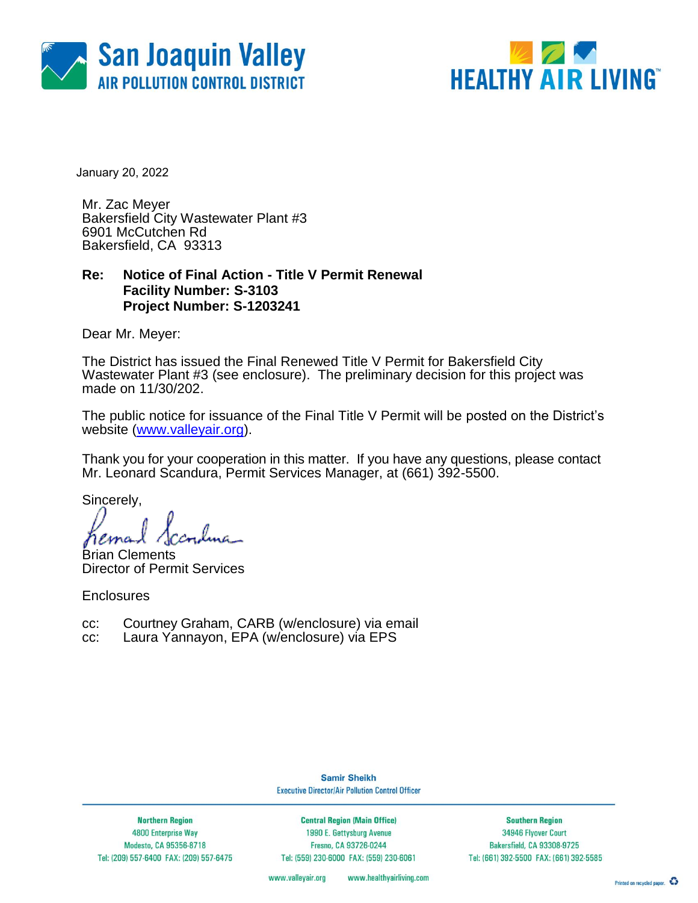



January 20, 2022

Mr. Zac Meyer Bakersfield City Wastewater Plant #3 6901 McCutchen Rd Bakersfield, CA 93313

### **Re: Notice of Final Action - Title V Permit Renewal Facility Number: S-3103 Project Number: S-1203241**

Dear Mr. Meyer:

The District has issued the Final Renewed Title V Permit for Bakersfield City Wastewater Plant #3 (see enclosure). The preliminary decision for this project was made on 11/30/202.

The public notice for issuance of the Final Title V Permit will be posted on the District's website [\(www.valleyair.org\)](http://www.valleyair.org/).

Thank you for your cooperation in this matter. If you have any questions, please contact Mr. Leonard Scandura, Permit Services Manager, at (661) 392-5500.

Sincerely,

Brian Clements Director of Permit Services

**Enclosures** 

- cc: Courtney Graham, CARB (w/enclosure) via email
- cc: Laura Yannayon, EPA (w/enclosure) via EPS

**Samir Sheikh Executive Director/Air Pollution Control Officer** 

**Northern Region** 4800 Enterprise Way Modesto, CA 95356-8718 Tel: (209) 557-6400 FAX: (209) 557-6475

**Central Region (Main Office)** 1990 E. Gettysburg Avenue Fresno, CA 93726-0244 Tel: (559) 230-6000 FAX: (559) 230-6061

**Southern Region** 34946 Flyover Court Bakersfield, CA 93308-9725 Tel: (661) 392-5500 FAX: (661) 392-5585

www.valleyair.org www.healthyairliving.com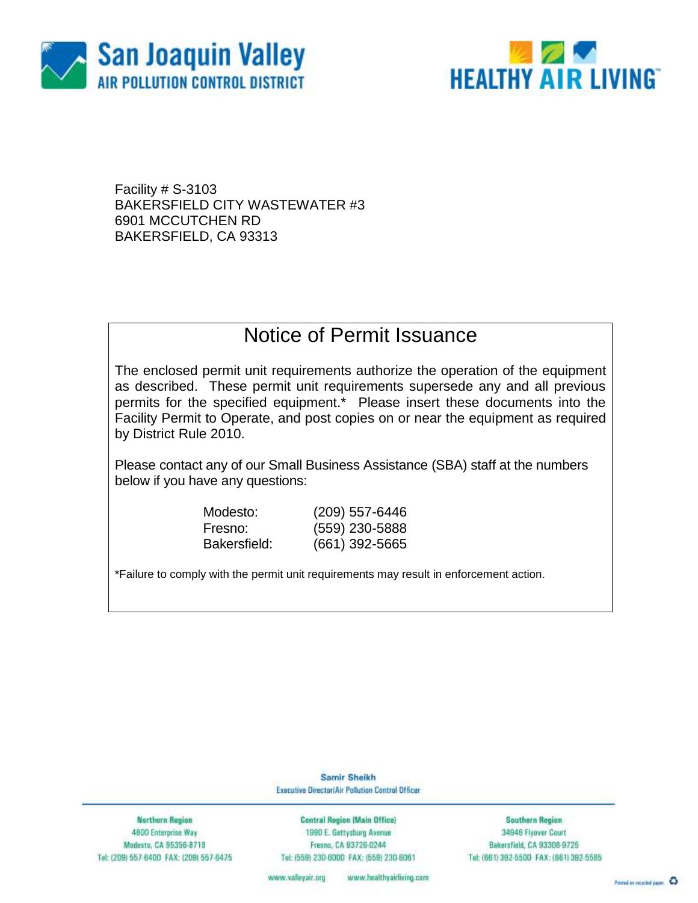



Facility # S-3103 BAKERSFIELD CITY WASTEWATER #3 6901 MCCUTCHEN RD BAKERSFIELD, CA 93313

### Notice of Permit Issuance

The enclosed permit unit requirements authorize the operation of the equipment as described. These permit unit requirements supersede any and all previous permits for the specified equipment.\* Please insert these documents into the Facility Permit to Operate, and post copies on or near the equipment as required by District Rule 2010.

Please contact any of our Small Business Assistance (SBA) staff at the numbers below if you have any questions:

| Modesto:     |  |
|--------------|--|
| Fresno:      |  |
| Bakersfield: |  |

(209) 557-6446 (559) 230-5888 Bakersfield: (661) 392-5665

\*Failure to comply with the permit unit requirements may result in enforcement action.

Samir Sheikh Executive Director/Air Pollution Control Officer

**Northern Region** 4800 Enterprise Way Modesto, CA 95356-8718 Tel: (209) 557-6400 FAX: (209) 557-6475

**Central Region (Main Office)** 1990 E. Gettysburg Avenue Fresna, CA 93726-0244 Tel: (559) 230-6000 FAX: (559) 230-6061

**Southern Region** 34946 Flyover Court Bakersfield, CA 93308-9725 Tel: (661) 392-5500 FAX: (661) 392-5585

www.valleyair.org www.healthyairliving.com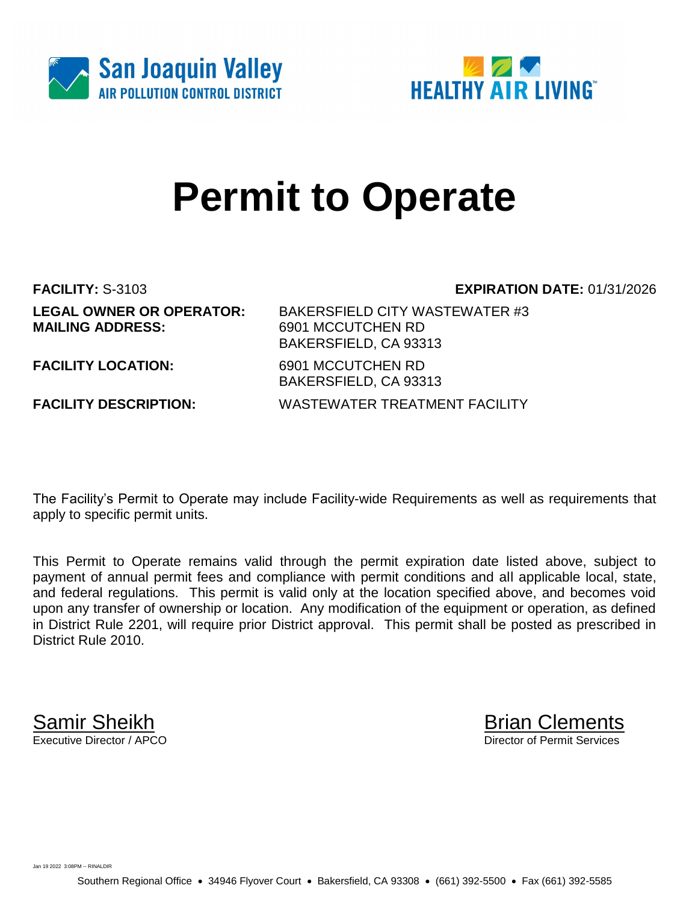



# **Permit to Operate**

**LEGAL OWNER OR OPERATOR:** BAKERSFIELD CITY WASTEWATER #3 **MAILING ADDRESS:** 6901 MCCUTCHEN RD

**FACILITY:** S-3103 **EXPIRATION DATE:** 01/31/2026

**FACILITY LOCATION:** 6901 MCCUTCHEN RD

BAKERSFIELD, CA 93313 BAKERSFIELD, CA 93313 **FACILITY DESCRIPTION:** WASTEWATER TREATMENT FACILITY

The Facility's Permit to Operate may include Facility-wide Requirements as well as requirements that apply to specific permit units.

This Permit to Operate remains valid through the permit expiration date listed above, subject to payment of annual permit fees and compliance with permit conditions and all applicable local, state, and federal regulations. This permit is valid only at the location specified above, and becomes void upon any transfer of ownership or location. Any modification of the equipment or operation, as defined in District Rule 2201, will require prior District approval. This permit shall be posted as prescribed in District Rule 2010.

**Samir Sheikh**<br>Executive Director / APCO

Director of Permit Services

Jan 19 2022 3:08PM -- RINALDIR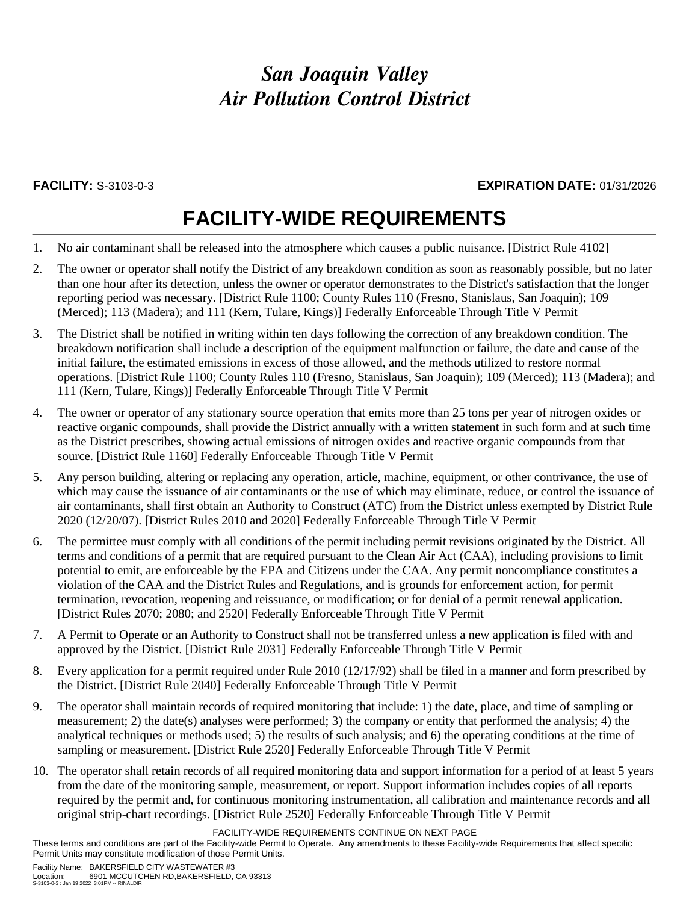### **FACILITY:** S-3103-0-3 **EXPIRATION DATE:** 01/31/2026

## **FACILITY-WIDE REQUIREMENTS**

- 1. No air contaminant shall be released into the atmosphere which causes a public nuisance. [District Rule 4102]
- 2. The owner or operator shall notify the District of any breakdown condition as soon as reasonably possible, but no later than one hour after its detection, unless the owner or operator demonstrates to the District's satisfaction that the longer reporting period was necessary. [District Rule 1100; County Rules 110 (Fresno, Stanislaus, San Joaquin); 109 (Merced); 113 (Madera); and 111 (Kern, Tulare, Kings)] Federally Enforceable Through Title V Permit
- 3. The District shall be notified in writing within ten days following the correction of any breakdown condition. The breakdown notification shall include a description of the equipment malfunction or failure, the date and cause of the initial failure, the estimated emissions in excess of those allowed, and the methods utilized to restore normal operations. [District Rule 1100; County Rules 110 (Fresno, Stanislaus, San Joaquin); 109 (Merced); 113 (Madera); and 111 (Kern, Tulare, Kings)] Federally Enforceable Through Title V Permit
- 4. The owner or operator of any stationary source operation that emits more than 25 tons per year of nitrogen oxides or reactive organic compounds, shall provide the District annually with a written statement in such form and at such time as the District prescribes, showing actual emissions of nitrogen oxides and reactive organic compounds from that source. [District Rule 1160] Federally Enforceable Through Title V Permit
- 5. Any person building, altering or replacing any operation, article, machine, equipment, or other contrivance, the use of which may cause the issuance of air contaminants or the use of which may eliminate, reduce, or control the issuance of air contaminants, shall first obtain an Authority to Construct (ATC) from the District unless exempted by District Rule 2020 (12/20/07). [District Rules 2010 and 2020] Federally Enforceable Through Title V Permit
- 6. The permittee must comply with all conditions of the permit including permit revisions originated by the District. All terms and conditions of a permit that are required pursuant to the Clean Air Act (CAA), including provisions to limit potential to emit, are enforceable by the EPA and Citizens under the CAA. Any permit noncompliance constitutes a violation of the CAA and the District Rules and Regulations, and is grounds for enforcement action, for permit termination, revocation, reopening and reissuance, or modification; or for denial of a permit renewal application. [District Rules 2070; 2080; and 2520] Federally Enforceable Through Title V Permit
- 7. A Permit to Operate or an Authority to Construct shall not be transferred unless a new application is filed with and approved by the District. [District Rule 2031] Federally Enforceable Through Title V Permit
- 8. Every application for a permit required under Rule 2010 (12/17/92) shall be filed in a manner and form prescribed by the District. [District Rule 2040] Federally Enforceable Through Title V Permit
- 9. The operator shall maintain records of required monitoring that include: 1) the date, place, and time of sampling or measurement; 2) the date(s) analyses were performed; 3) the company or entity that performed the analysis; 4) the analytical techniques or methods used; 5) the results of such analysis; and 6) the operating conditions at the time of sampling or measurement. [District Rule 2520] Federally Enforceable Through Title V Permit
- 10. The operator shall retain records of all required monitoring data and support information for a period of at least 5 years from the date of the monitoring sample, measurement, or report. Support information includes copies of all reports required by the permit and, for continuous monitoring instrumentation, all calibration and maintenance records and all original strip-chart recordings. [District Rule 2520] Federally Enforceable Through Title V Permit

FACILITY-WIDE REQUIREMENTS CONTINUE ON NEXT PAGE

These terms and conditions are part of the Facility-wide Permit to Operate. Any amendments to these Facility-wide Requirements that affect specific Permit Units may constitute modification of those Permit Units.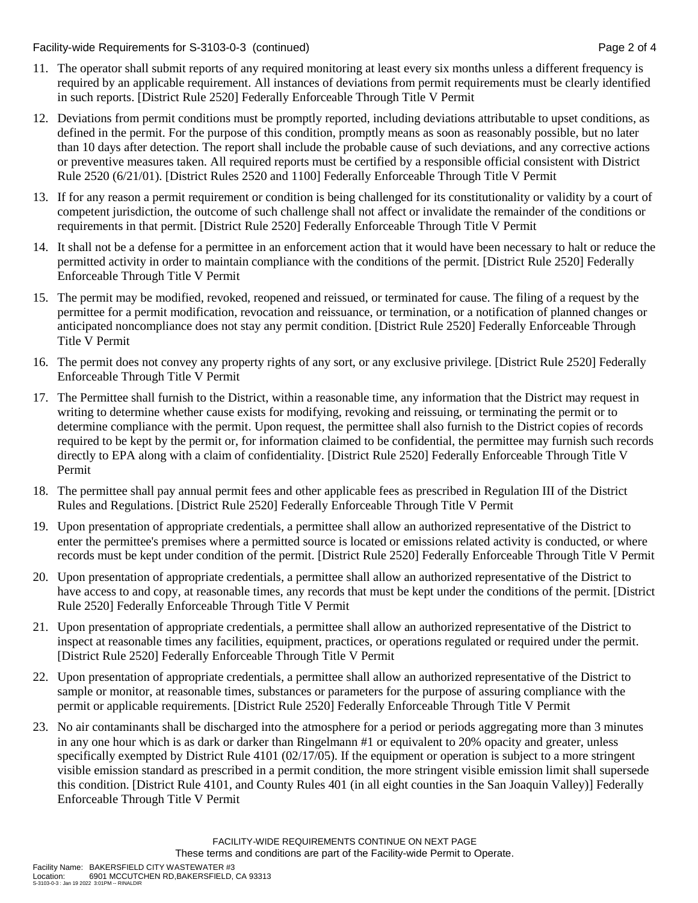Facility-wide Requirements for S-3103-0-3 (continued) Page 2 of 4

- 11. The operator shall submit reports of any required monitoring at least every six months unless a different frequency is required by an applicable requirement. All instances of deviations from permit requirements must be clearly identified in such reports. [District Rule 2520] Federally Enforceable Through Title V Permit
- 12. Deviations from permit conditions must be promptly reported, including deviations attributable to upset conditions, as defined in the permit. For the purpose of this condition, promptly means as soon as reasonably possible, but no later than 10 days after detection. The report shall include the probable cause of such deviations, and any corrective actions or preventive measures taken. All required reports must be certified by a responsible official consistent with District Rule 2520 (6/21/01). [District Rules 2520 and 1100] Federally Enforceable Through Title V Permit
- 13. If for any reason a permit requirement or condition is being challenged for its constitutionality or validity by a court of competent jurisdiction, the outcome of such challenge shall not affect or invalidate the remainder of the conditions or requirements in that permit. [District Rule 2520] Federally Enforceable Through Title V Permit
- 14. It shall not be a defense for a permittee in an enforcement action that it would have been necessary to halt or reduce the permitted activity in order to maintain compliance with the conditions of the permit. [District Rule 2520] Federally Enforceable Through Title V Permit
- 15. The permit may be modified, revoked, reopened and reissued, or terminated for cause. The filing of a request by the permittee for a permit modification, revocation and reissuance, or termination, or a notification of planned changes or anticipated noncompliance does not stay any permit condition. [District Rule 2520] Federally Enforceable Through Title V Permit
- 16. The permit does not convey any property rights of any sort, or any exclusive privilege. [District Rule 2520] Federally Enforceable Through Title V Permit
- 17. The Permittee shall furnish to the District, within a reasonable time, any information that the District may request in writing to determine whether cause exists for modifying, revoking and reissuing, or terminating the permit or to determine compliance with the permit. Upon request, the permittee shall also furnish to the District copies of records required to be kept by the permit or, for information claimed to be confidential, the permittee may furnish such records directly to EPA along with a claim of confidentiality. [District Rule 2520] Federally Enforceable Through Title V Permit
- 18. The permittee shall pay annual permit fees and other applicable fees as prescribed in Regulation III of the District Rules and Regulations. [District Rule 2520] Federally Enforceable Through Title V Permit
- 19. Upon presentation of appropriate credentials, a permittee shall allow an authorized representative of the District to enter the permittee's premises where a permitted source is located or emissions related activity is conducted, or where records must be kept under condition of the permit. [District Rule 2520] Federally Enforceable Through Title V Permit
- 20. Upon presentation of appropriate credentials, a permittee shall allow an authorized representative of the District to have access to and copy, at reasonable times, any records that must be kept under the conditions of the permit. [District Rule 2520] Federally Enforceable Through Title V Permit
- 21. Upon presentation of appropriate credentials, a permittee shall allow an authorized representative of the District to inspect at reasonable times any facilities, equipment, practices, or operations regulated or required under the permit. [District Rule 2520] Federally Enforceable Through Title V Permit
- 22. Upon presentation of appropriate credentials, a permittee shall allow an authorized representative of the District to sample or monitor, at reasonable times, substances or parameters for the purpose of assuring compliance with the permit or applicable requirements. [District Rule 2520] Federally Enforceable Through Title V Permit
- 23. No air contaminants shall be discharged into the atmosphere for a period or periods aggregating more than 3 minutes in any one hour which is as dark or darker than Ringelmann #1 or equivalent to 20% opacity and greater, unless specifically exempted by District Rule 4101 (02/17/05). If the equipment or operation is subject to a more stringent visible emission standard as prescribed in a permit condition, the more stringent visible emission limit shall supersede this condition. [District Rule 4101, and County Rules 401 (in all eight counties in the San Joaquin Valley)] Federally Enforceable Through Title V Permit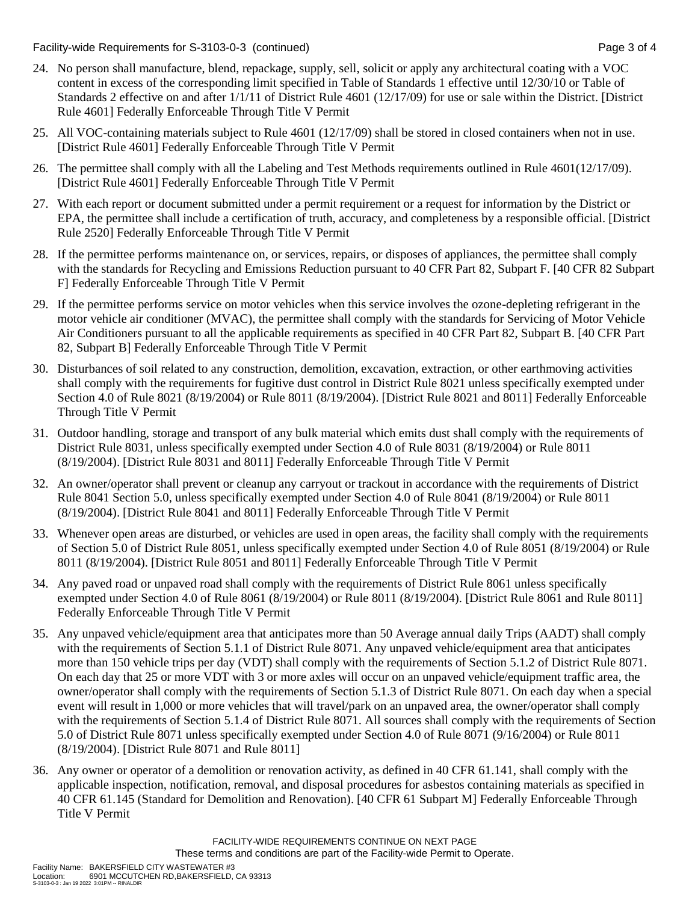Facility-wide Requirements for S-3103-0-3 (continued) Page 3 of 4

- 24. No person shall manufacture, blend, repackage, supply, sell, solicit or apply any architectural coating with a VOC content in excess of the corresponding limit specified in Table of Standards 1 effective until 12/30/10 or Table of Standards 2 effective on and after 1/1/11 of District Rule 4601 (12/17/09) for use or sale within the District. [District Rule 4601] Federally Enforceable Through Title V Permit
- 25. All VOC-containing materials subject to Rule 4601 (12/17/09) shall be stored in closed containers when not in use. [District Rule 4601] Federally Enforceable Through Title V Permit
- 26. The permittee shall comply with all the Labeling and Test Methods requirements outlined in Rule 4601(12/17/09). [District Rule 4601] Federally Enforceable Through Title V Permit
- 27. With each report or document submitted under a permit requirement or a request for information by the District or EPA, the permittee shall include a certification of truth, accuracy, and completeness by a responsible official. [District Rule 2520] Federally Enforceable Through Title V Permit
- 28. If the permittee performs maintenance on, or services, repairs, or disposes of appliances, the permittee shall comply with the standards for Recycling and Emissions Reduction pursuant to 40 CFR Part 82, Subpart F. [40 CFR 82 Subpart F] Federally Enforceable Through Title V Permit
- 29. If the permittee performs service on motor vehicles when this service involves the ozone-depleting refrigerant in the motor vehicle air conditioner (MVAC), the permittee shall comply with the standards for Servicing of Motor Vehicle Air Conditioners pursuant to all the applicable requirements as specified in 40 CFR Part 82, Subpart B. [40 CFR Part 82, Subpart B] Federally Enforceable Through Title V Permit
- 30. Disturbances of soil related to any construction, demolition, excavation, extraction, or other earthmoving activities shall comply with the requirements for fugitive dust control in District Rule 8021 unless specifically exempted under Section 4.0 of Rule 8021 (8/19/2004) or Rule 8011 (8/19/2004). [District Rule 8021 and 8011] Federally Enforceable Through Title V Permit
- 31. Outdoor handling, storage and transport of any bulk material which emits dust shall comply with the requirements of District Rule 8031, unless specifically exempted under Section 4.0 of Rule 8031 (8/19/2004) or Rule 8011 (8/19/2004). [District Rule 8031 and 8011] Federally Enforceable Through Title V Permit
- 32. An owner/operator shall prevent or cleanup any carryout or trackout in accordance with the requirements of District Rule 8041 Section 5.0, unless specifically exempted under Section 4.0 of Rule 8041 (8/19/2004) or Rule 8011 (8/19/2004). [District Rule 8041 and 8011] Federally Enforceable Through Title V Permit
- 33. Whenever open areas are disturbed, or vehicles are used in open areas, the facility shall comply with the requirements of Section 5.0 of District Rule 8051, unless specifically exempted under Section 4.0 of Rule 8051 (8/19/2004) or Rule 8011 (8/19/2004). [District Rule 8051 and 8011] Federally Enforceable Through Title V Permit
- 34. Any paved road or unpaved road shall comply with the requirements of District Rule 8061 unless specifically exempted under Section 4.0 of Rule 8061 (8/19/2004) or Rule 8011 (8/19/2004). [District Rule 8061 and Rule 8011] Federally Enforceable Through Title V Permit
- 35. Any unpaved vehicle/equipment area that anticipates more than 50 Average annual daily Trips (AADT) shall comply with the requirements of Section 5.1.1 of District Rule 8071. Any unpaved vehicle/equipment area that anticipates more than 150 vehicle trips per day (VDT) shall comply with the requirements of Section 5.1.2 of District Rule 8071. On each day that 25 or more VDT with 3 or more axles will occur on an unpaved vehicle/equipment traffic area, the owner/operator shall comply with the requirements of Section 5.1.3 of District Rule 8071. On each day when a special event will result in 1,000 or more vehicles that will travel/park on an unpaved area, the owner/operator shall comply with the requirements of Section 5.1.4 of District Rule 8071. All sources shall comply with the requirements of Section 5.0 of District Rule 8071 unless specifically exempted under Section 4.0 of Rule 8071 (9/16/2004) or Rule 8011 (8/19/2004). [District Rule 8071 and Rule 8011]
- 36. Any owner or operator of a demolition or renovation activity, as defined in 40 CFR 61.141, shall comply with the applicable inspection, notification, removal, and disposal procedures for asbestos containing materials as specified in 40 CFR 61.145 (Standard for Demolition and Renovation). [40 CFR 61 Subpart M] Federally Enforceable Through Title V Permit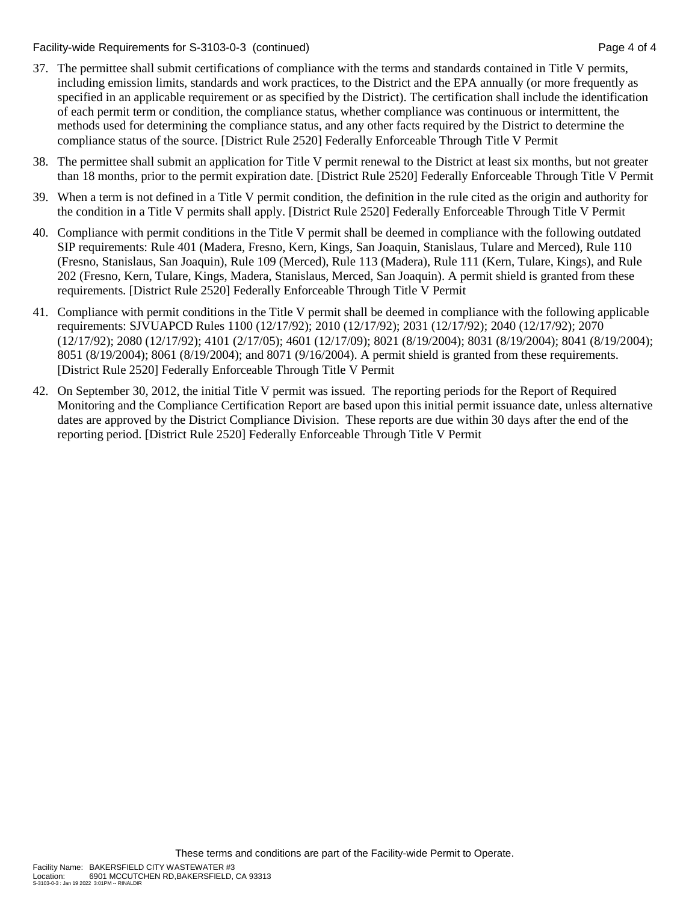Facility-wide Requirements for S-3103-0-3 (continued) Page 4 of 4

- 37. The permittee shall submit certifications of compliance with the terms and standards contained in Title V permits, including emission limits, standards and work practices, to the District and the EPA annually (or more frequently as specified in an applicable requirement or as specified by the District). The certification shall include the identification of each permit term or condition, the compliance status, whether compliance was continuous or intermittent, the methods used for determining the compliance status, and any other facts required by the District to determine the compliance status of the source. [District Rule 2520] Federally Enforceable Through Title V Permit
- 38. The permittee shall submit an application for Title V permit renewal to the District at least six months, but not greater than 18 months, prior to the permit expiration date. [District Rule 2520] Federally Enforceable Through Title V Permit
- 39. When a term is not defined in a Title V permit condition, the definition in the rule cited as the origin and authority for the condition in a Title V permits shall apply. [District Rule 2520] Federally Enforceable Through Title V Permit
- 40. Compliance with permit conditions in the Title V permit shall be deemed in compliance with the following outdated SIP requirements: Rule 401 (Madera, Fresno, Kern, Kings, San Joaquin, Stanislaus, Tulare and Merced), Rule 110 (Fresno, Stanislaus, San Joaquin), Rule 109 (Merced), Rule 113 (Madera), Rule 111 (Kern, Tulare, Kings), and Rule 202 (Fresno, Kern, Tulare, Kings, Madera, Stanislaus, Merced, San Joaquin). A permit shield is granted from these requirements. [District Rule 2520] Federally Enforceable Through Title V Permit
- 41. Compliance with permit conditions in the Title V permit shall be deemed in compliance with the following applicable requirements: SJVUAPCD Rules 1100 (12/17/92); 2010 (12/17/92); 2031 (12/17/92); 2040 (12/17/92); 2070 (12/17/92); 2080 (12/17/92); 4101 (2/17/05); 4601 (12/17/09); 8021 (8/19/2004); 8031 (8/19/2004); 8041 (8/19/2004); 8051 (8/19/2004); 8061 (8/19/2004); and 8071 (9/16/2004). A permit shield is granted from these requirements. [District Rule 2520] Federally Enforceable Through Title V Permit
- 42. On September 30, 2012, the initial Title V permit was issued. The reporting periods for the Report of Required Monitoring and the Compliance Certification Report are based upon this initial permit issuance date, unless alternative dates are approved by the District Compliance Division. These reports are due within 30 days after the end of the reporting period. [District Rule 2520] Federally Enforceable Through Title V Permit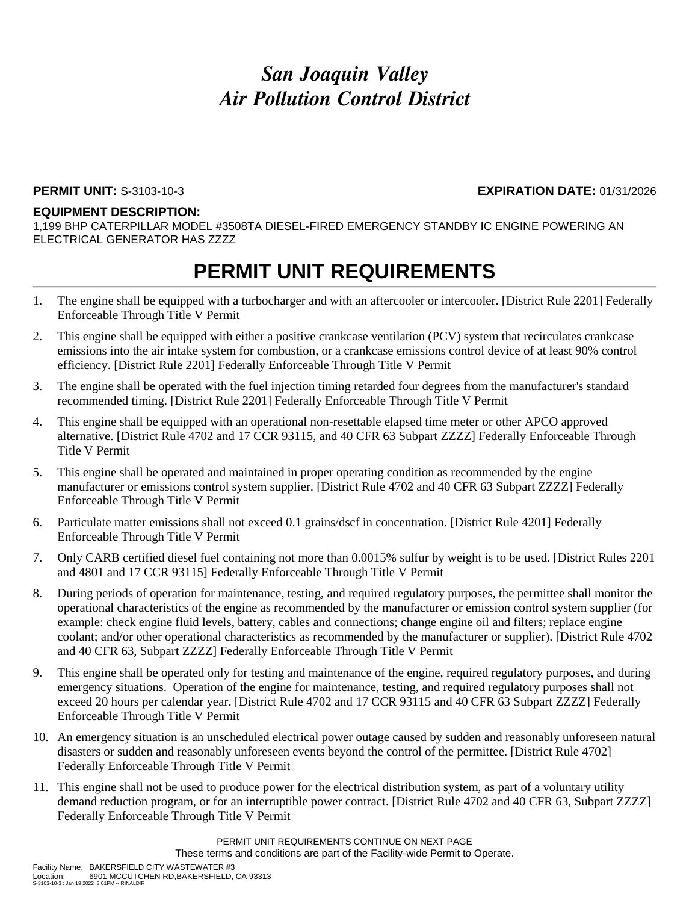### **PERMIT UNIT:** S-3103-10-3 **EXPIRATION DATE:** 01/31/2026

#### **EQUIPMENT DESCRIPTION:**

1,199 BHP CATERPILLAR MODEL #3508TA DIESEL-FIRED EMERGENCY STANDBY IC ENGINE POWERING AN ELECTRICAL GENERATOR HAS ZZZZ

- 1. The engine shall be equipped with a turbocharger and with an aftercooler or intercooler. [District Rule 2201] Federally Enforceable Through Title V Permit
- 2. This engine shall be equipped with either a positive crankcase ventilation (PCV) system that recirculates crankcase emissions into the air intake system for combustion, or a crankcase emissions control device of at least 90% control efficiency. [District Rule 2201] Federally Enforceable Through Title V Permit
- 3. The engine shall be operated with the fuel injection timing retarded four degrees from the manufacturer's standard recommended timing. [District Rule 2201] Federally Enforceable Through Title V Permit
- 4. This engine shall be equipped with an operational non-resettable elapsed time meter or other APCO approved alternative. [District Rule 4702 and 17 CCR 93115, and 40 CFR 63 Subpart ZZZZ] Federally Enforceable Through Title V Permit
- 5. This engine shall be operated and maintained in proper operating condition as recommended by the engine manufacturer or emissions control system supplier. [District Rule 4702 and 40 CFR 63 Subpart ZZZZ] Federally Enforceable Through Title V Permit
- 6. Particulate matter emissions shall not exceed 0.1 grains/dscf in concentration. [District Rule 4201] Federally Enforceable Through Title V Permit
- 7. Only CARB certified diesel fuel containing not more than 0.0015% sulfur by weight is to be used. [District Rules 2201 and 4801 and 17 CCR 93115] Federally Enforceable Through Title V Permit
- 8. During periods of operation for maintenance, testing, and required regulatory purposes, the permittee shall monitor the operational characteristics of the engine as recommended by the manufacturer or emission control system supplier (for example: check engine fluid levels, battery, cables and connections; change engine oil and filters; replace engine coolant; and/or other operational characteristics as recommended by the manufacturer or supplier). [District Rule 4702 and 40 CFR 63, Subpart ZZZZ] Federally Enforceable Through Title V Permit
- 9. This engine shall be operated only for testing and maintenance of the engine, required regulatory purposes, and during emergency situations. Operation of the engine for maintenance, testing, and required regulatory purposes shall not exceed 20 hours per calendar year. [District Rule 4702 and 17 CCR 93115 and 40 CFR 63 Subpart ZZZZ] Federally Enforceable Through Title V Permit
- 10. An emergency situation is an unscheduled electrical power outage caused by sudden and reasonably unforeseen natural disasters or sudden and reasonably unforeseen events beyond the control of the permittee. [District Rule 4702] Federally Enforceable Through Title V Permit
- 11. This engine shall not be used to produce power for the electrical distribution system, as part of a voluntary utility demand reduction program, or for an interruptible power contract. [District Rule 4702 and 40 CFR 63, Subpart ZZZZ] Federally Enforceable Through Title V Permit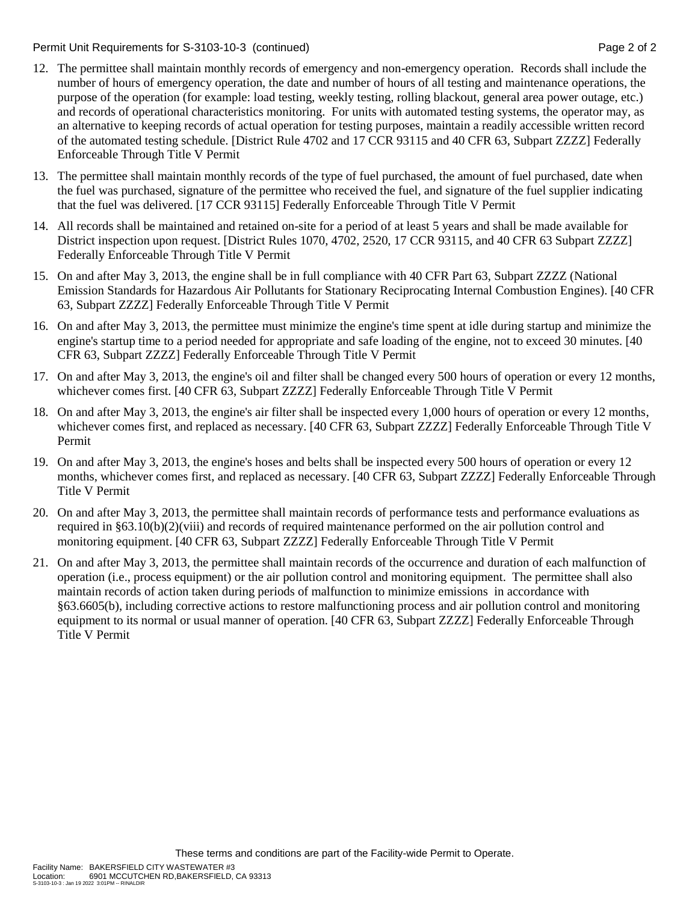Permit Unit Requirements for S-3103-10-3 (continued) **Page 2** of 2

- 12. The permittee shall maintain monthly records of emergency and non-emergency operation. Records shall include the number of hours of emergency operation, the date and number of hours of all testing and maintenance operations, the purpose of the operation (for example: load testing, weekly testing, rolling blackout, general area power outage, etc.) and records of operational characteristics monitoring. For units with automated testing systems, the operator may, as an alternative to keeping records of actual operation for testing purposes, maintain a readily accessible written record of the automated testing schedule. [District Rule 4702 and 17 CCR 93115 and 40 CFR 63, Subpart ZZZZ] Federally Enforceable Through Title V Permit
- 13. The permittee shall maintain monthly records of the type of fuel purchased, the amount of fuel purchased, date when the fuel was purchased, signature of the permittee who received the fuel, and signature of the fuel supplier indicating that the fuel was delivered. [17 CCR 93115] Federally Enforceable Through Title V Permit
- 14. All records shall be maintained and retained on-site for a period of at least 5 years and shall be made available for District inspection upon request. [District Rules 1070, 4702, 2520, 17 CCR 93115, and 40 CFR 63 Subpart ZZZZ] Federally Enforceable Through Title V Permit
- 15. On and after May 3, 2013, the engine shall be in full compliance with 40 CFR Part 63, Subpart ZZZZ (National Emission Standards for Hazardous Air Pollutants for Stationary Reciprocating Internal Combustion Engines). [40 CFR 63, Subpart ZZZZ] Federally Enforceable Through Title V Permit
- 16. On and after May 3, 2013, the permittee must minimize the engine's time spent at idle during startup and minimize the engine's startup time to a period needed for appropriate and safe loading of the engine, not to exceed 30 minutes. [40 CFR 63, Subpart ZZZZ] Federally Enforceable Through Title V Permit
- 17. On and after May 3, 2013, the engine's oil and filter shall be changed every 500 hours of operation or every 12 months, whichever comes first. [40 CFR 63, Subpart ZZZZ] Federally Enforceable Through Title V Permit
- 18. On and after May 3, 2013, the engine's air filter shall be inspected every 1,000 hours of operation or every 12 months, whichever comes first, and replaced as necessary. [40 CFR 63, Subpart ZZZZ] Federally Enforceable Through Title V Permit
- 19. On and after May 3, 2013, the engine's hoses and belts shall be inspected every 500 hours of operation or every 12 months, whichever comes first, and replaced as necessary. [40 CFR 63, Subpart ZZZZ] Federally Enforceable Through Title V Permit
- 20. On and after May 3, 2013, the permittee shall maintain records of performance tests and performance evaluations as required in §63.10(b)(2)(viii) and records of required maintenance performed on the air pollution control and monitoring equipment. [40 CFR 63, Subpart ZZZZ] Federally Enforceable Through Title V Permit
- 21. On and after May 3, 2013, the permittee shall maintain records of the occurrence and duration of each malfunction of operation (i.e., process equipment) or the air pollution control and monitoring equipment. The permittee shall also maintain records of action taken during periods of malfunction to minimize emissions in accordance with §63.6605(b), including corrective actions to restore malfunctioning process and air pollution control and monitoring equipment to its normal or usual manner of operation. [40 CFR 63, Subpart ZZZZ] Federally Enforceable Through Title V Permit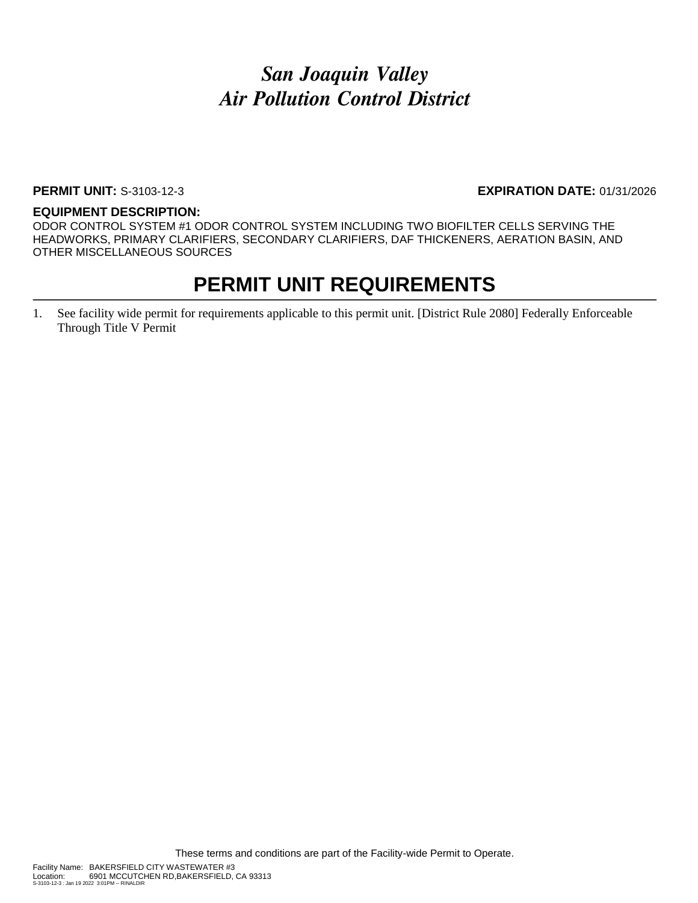#### **PERMIT UNIT:** S-3103-12-3 **EXPIRATION DATE:** 01/31/2026

#### **EQUIPMENT DESCRIPTION:**

ODOR CONTROL SYSTEM #1 ODOR CONTROL SYSTEM INCLUDING TWO BIOFILTER CELLS SERVING THE HEADWORKS, PRIMARY CLARIFIERS, SECONDARY CLARIFIERS, DAF THICKENERS, AERATION BASIN, AND OTHER MISCELLANEOUS SOURCES

### **PERMIT UNIT REQUIREMENTS**

1. See facility wide permit for requirements applicable to this permit unit. [District Rule 2080] Federally Enforceable Through Title V Permit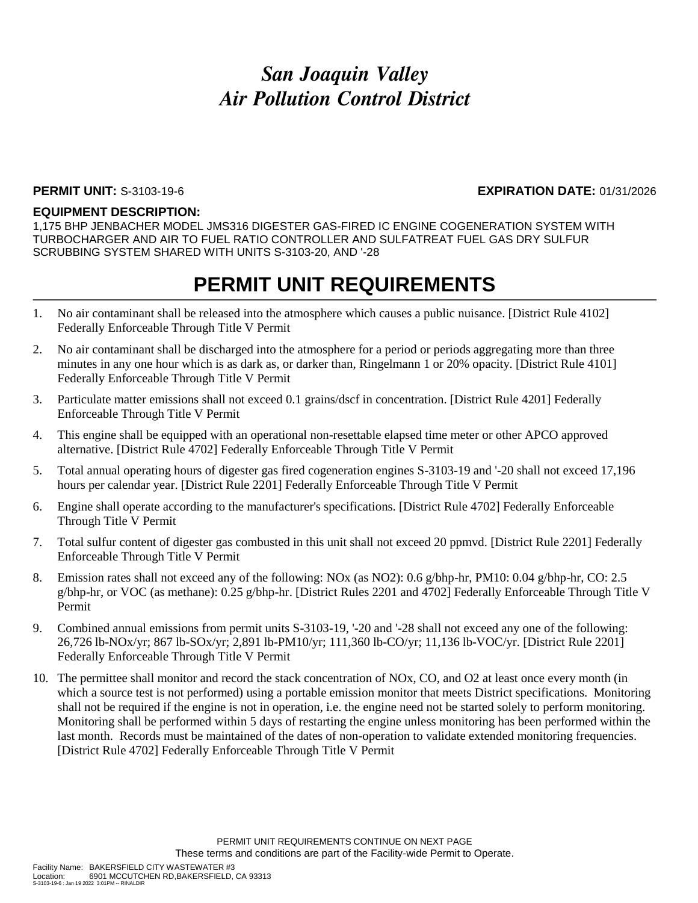#### **PERMIT UNIT:** S-3103-19-6 **EXPIRATION DATE:** 01/31/2026

#### **EQUIPMENT DESCRIPTION:**

1,175 BHP JENBACHER MODEL JMS316 DIGESTER GAS-FIRED IC ENGINE COGENERATION SYSTEM WITH TURBOCHARGER AND AIR TO FUEL RATIO CONTROLLER AND SULFATREAT FUEL GAS DRY SULFUR SCRUBBING SYSTEM SHARED WITH UNITS S-3103-20, AND '-28

- 1. No air contaminant shall be released into the atmosphere which causes a public nuisance. [District Rule 4102] Federally Enforceable Through Title V Permit
- 2. No air contaminant shall be discharged into the atmosphere for a period or periods aggregating more than three minutes in any one hour which is as dark as, or darker than, Ringelmann 1 or 20% opacity. [District Rule 4101] Federally Enforceable Through Title V Permit
- 3. Particulate matter emissions shall not exceed 0.1 grains/dscf in concentration. [District Rule 4201] Federally Enforceable Through Title V Permit
- 4. This engine shall be equipped with an operational non-resettable elapsed time meter or other APCO approved alternative. [District Rule 4702] Federally Enforceable Through Title V Permit
- 5. Total annual operating hours of digester gas fired cogeneration engines S-3103-19 and '-20 shall not exceed 17,196 hours per calendar year. [District Rule 2201] Federally Enforceable Through Title V Permit
- 6. Engine shall operate according to the manufacturer's specifications. [District Rule 4702] Federally Enforceable Through Title V Permit
- 7. Total sulfur content of digester gas combusted in this unit shall not exceed 20 ppmvd. [District Rule 2201] Federally Enforceable Through Title V Permit
- 8. Emission rates shall not exceed any of the following: NOx (as NO2): 0.6 g/bhp-hr, PM10: 0.04 g/bhp-hr, CO: 2.5 g/bhp-hr, or VOC (as methane): 0.25 g/bhp-hr. [District Rules 2201 and 4702] Federally Enforceable Through Title V Permit
- 9. Combined annual emissions from permit units S-3103-19, '-20 and '-28 shall not exceed any one of the following: 26,726 lb-NOx/yr; 867 lb-SOx/yr; 2,891 lb-PM10/yr; 111,360 lb-CO/yr; 11,136 lb-VOC/yr. [District Rule 2201] Federally Enforceable Through Title V Permit
- 10. The permittee shall monitor and record the stack concentration of NOx, CO, and O2 at least once every month (in which a source test is not performed) using a portable emission monitor that meets District specifications. Monitoring shall not be required if the engine is not in operation, i.e. the engine need not be started solely to perform monitoring. Monitoring shall be performed within 5 days of restarting the engine unless monitoring has been performed within the last month. Records must be maintained of the dates of non-operation to validate extended monitoring frequencies. [District Rule 4702] Federally Enforceable Through Title V Permit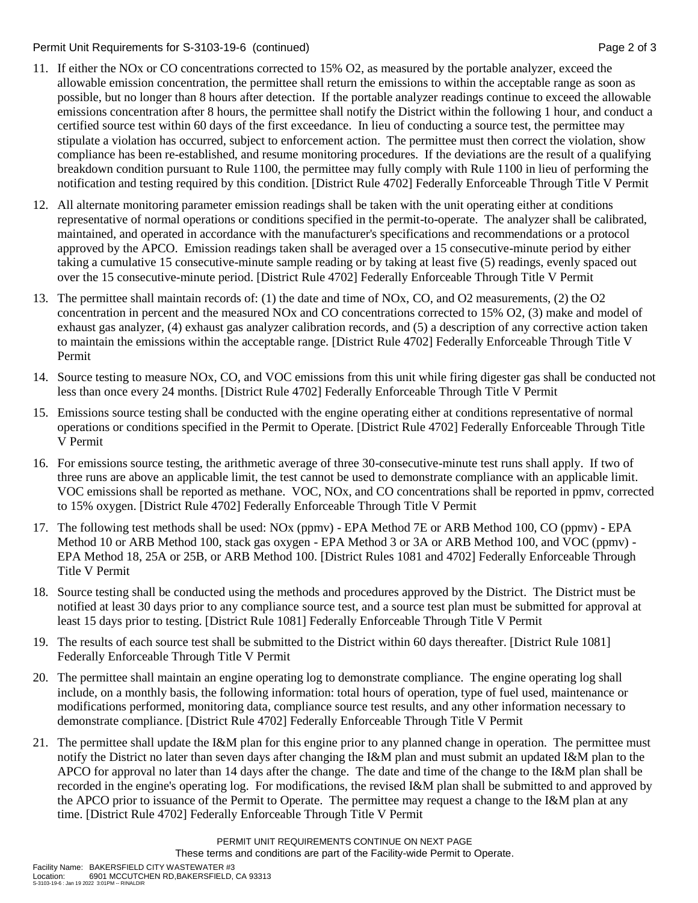Permit Unit Requirements for S-3103-19-6 (continued) **Page 2** of 3

- 11. If either the NOx or CO concentrations corrected to 15% O2, as measured by the portable analyzer, exceed the allowable emission concentration, the permittee shall return the emissions to within the acceptable range as soon as possible, but no longer than 8 hours after detection. If the portable analyzer readings continue to exceed the allowable emissions concentration after 8 hours, the permittee shall notify the District within the following 1 hour, and conduct a certified source test within 60 days of the first exceedance. In lieu of conducting a source test, the permittee may stipulate a violation has occurred, subject to enforcement action. The permittee must then correct the violation, show compliance has been re-established, and resume monitoring procedures. If the deviations are the result of a qualifying breakdown condition pursuant to Rule 1100, the permittee may fully comply with Rule 1100 in lieu of performing the notification and testing required by this condition. [District Rule 4702] Federally Enforceable Through Title V Permit
- 12. All alternate monitoring parameter emission readings shall be taken with the unit operating either at conditions representative of normal operations or conditions specified in the permit-to-operate. The analyzer shall be calibrated, maintained, and operated in accordance with the manufacturer's specifications and recommendations or a protocol approved by the APCO. Emission readings taken shall be averaged over a 15 consecutive-minute period by either taking a cumulative 15 consecutive-minute sample reading or by taking at least five (5) readings, evenly spaced out over the 15 consecutive-minute period. [District Rule 4702] Federally Enforceable Through Title V Permit
- 13. The permittee shall maintain records of: (1) the date and time of NOx, CO, and O2 measurements, (2) the O2 concentration in percent and the measured NOx and CO concentrations corrected to 15% O2, (3) make and model of exhaust gas analyzer, (4) exhaust gas analyzer calibration records, and (5) a description of any corrective action taken to maintain the emissions within the acceptable range. [District Rule 4702] Federally Enforceable Through Title V Permit
- 14. Source testing to measure NOx, CO, and VOC emissions from this unit while firing digester gas shall be conducted not less than once every 24 months. [District Rule 4702] Federally Enforceable Through Title V Permit
- 15. Emissions source testing shall be conducted with the engine operating either at conditions representative of normal operations or conditions specified in the Permit to Operate. [District Rule 4702] Federally Enforceable Through Title V Permit
- 16. For emissions source testing, the arithmetic average of three 30-consecutive-minute test runs shall apply. If two of three runs are above an applicable limit, the test cannot be used to demonstrate compliance with an applicable limit. VOC emissions shall be reported as methane. VOC, NOx, and CO concentrations shall be reported in ppmv, corrected to 15% oxygen. [District Rule 4702] Federally Enforceable Through Title V Permit
- 17. The following test methods shall be used: NOx (ppmv) EPA Method 7E or ARB Method 100, CO (ppmv) EPA Method 10 or ARB Method 100, stack gas oxygen - EPA Method 3 or 3A or ARB Method 100, and VOC (ppmv) - EPA Method 18, 25A or 25B, or ARB Method 100. [District Rules 1081 and 4702] Federally Enforceable Through Title V Permit
- 18. Source testing shall be conducted using the methods and procedures approved by the District. The District must be notified at least 30 days prior to any compliance source test, and a source test plan must be submitted for approval at least 15 days prior to testing. [District Rule 1081] Federally Enforceable Through Title V Permit
- 19. The results of each source test shall be submitted to the District within 60 days thereafter. [District Rule 1081] Federally Enforceable Through Title V Permit
- 20. The permittee shall maintain an engine operating log to demonstrate compliance. The engine operating log shall include, on a monthly basis, the following information: total hours of operation, type of fuel used, maintenance or modifications performed, monitoring data, compliance source test results, and any other information necessary to demonstrate compliance. [District Rule 4702] Federally Enforceable Through Title V Permit
- 21. The permittee shall update the I&M plan for this engine prior to any planned change in operation. The permittee must notify the District no later than seven days after changing the I&M plan and must submit an updated I&M plan to the APCO for approval no later than 14 days after the change. The date and time of the change to the I&M plan shall be recorded in the engine's operating log. For modifications, the revised I&M plan shall be submitted to and approved by the APCO prior to issuance of the Permit to Operate. The permittee may request a change to the I&M plan at any time. [District Rule 4702] Federally Enforceable Through Title V Permit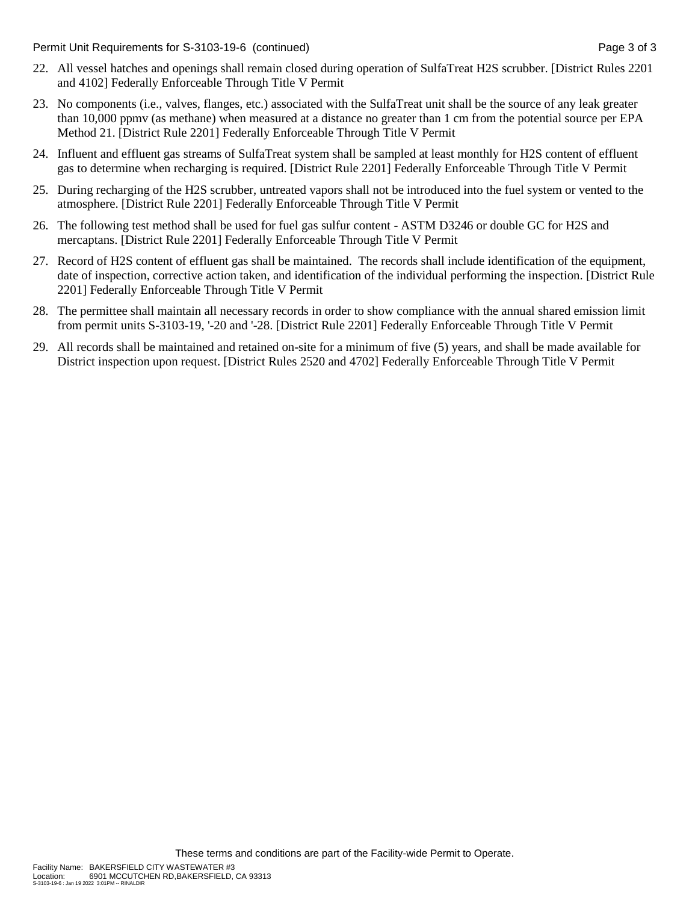Permit Unit Requirements for S-3103-19-6 (continued) **Page 3** of 3

- 22. All vessel hatches and openings shall remain closed during operation of SulfaTreat H2S scrubber. [District Rules 2201 and 4102] Federally Enforceable Through Title V Permit
- 23. No components (i.e., valves, flanges, etc.) associated with the SulfaTreat unit shall be the source of any leak greater than 10,000 ppmv (as methane) when measured at a distance no greater than 1 cm from the potential source per EPA Method 21. [District Rule 2201] Federally Enforceable Through Title V Permit
- 24. Influent and effluent gas streams of SulfaTreat system shall be sampled at least monthly for H2S content of effluent gas to determine when recharging is required. [District Rule 2201] Federally Enforceable Through Title V Permit
- 25. During recharging of the H2S scrubber, untreated vapors shall not be introduced into the fuel system or vented to the atmosphere. [District Rule 2201] Federally Enforceable Through Title V Permit
- 26. The following test method shall be used for fuel gas sulfur content ASTM D3246 or double GC for H2S and mercaptans. [District Rule 2201] Federally Enforceable Through Title V Permit
- 27. Record of H2S content of effluent gas shall be maintained. The records shall include identification of the equipment, date of inspection, corrective action taken, and identification of the individual performing the inspection. [District Rule 2201] Federally Enforceable Through Title V Permit
- 28. The permittee shall maintain all necessary records in order to show compliance with the annual shared emission limit from permit units S-3103-19, '-20 and '-28. [District Rule 2201] Federally Enforceable Through Title V Permit
- 29. All records shall be maintained and retained on-site for a minimum of five (5) years, and shall be made available for District inspection upon request. [District Rules 2520 and 4702] Federally Enforceable Through Title V Permit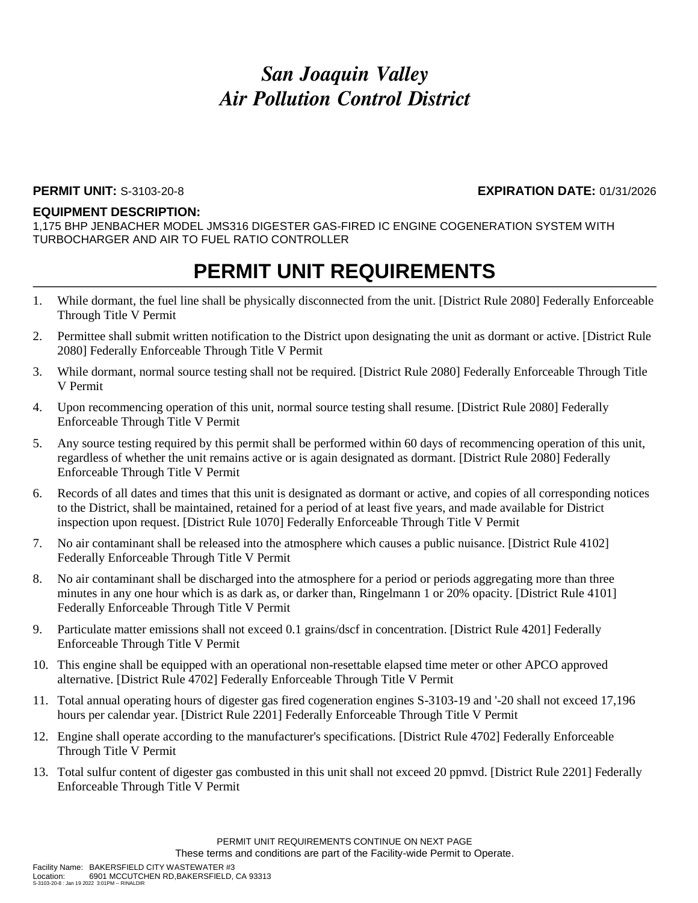### **PERMIT UNIT:** S-3103-20-8 **EXPIRATION DATE:** 01/31/2026

#### **EQUIPMENT DESCRIPTION:**

1,175 BHP JENBACHER MODEL JMS316 DIGESTER GAS-FIRED IC ENGINE COGENERATION SYSTEM WITH TURBOCHARGER AND AIR TO FUEL RATIO CONTROLLER

- 1. While dormant, the fuel line shall be physically disconnected from the unit. [District Rule 2080] Federally Enforceable Through Title V Permit
- 2. Permittee shall submit written notification to the District upon designating the unit as dormant or active. [District Rule 2080] Federally Enforceable Through Title V Permit
- 3. While dormant, normal source testing shall not be required. [District Rule 2080] Federally Enforceable Through Title V Permit
- 4. Upon recommencing operation of this unit, normal source testing shall resume. [District Rule 2080] Federally Enforceable Through Title V Permit
- 5. Any source testing required by this permit shall be performed within 60 days of recommencing operation of this unit, regardless of whether the unit remains active or is again designated as dormant. [District Rule 2080] Federally Enforceable Through Title V Permit
- 6. Records of all dates and times that this unit is designated as dormant or active, and copies of all corresponding notices to the District, shall be maintained, retained for a period of at least five years, and made available for District inspection upon request. [District Rule 1070] Federally Enforceable Through Title V Permit
- 7. No air contaminant shall be released into the atmosphere which causes a public nuisance. [District Rule 4102] Federally Enforceable Through Title V Permit
- 8. No air contaminant shall be discharged into the atmosphere for a period or periods aggregating more than three minutes in any one hour which is as dark as, or darker than, Ringelmann 1 or 20% opacity. [District Rule 4101] Federally Enforceable Through Title V Permit
- 9. Particulate matter emissions shall not exceed 0.1 grains/dscf in concentration. [District Rule 4201] Federally Enforceable Through Title V Permit
- 10. This engine shall be equipped with an operational non-resettable elapsed time meter or other APCO approved alternative. [District Rule 4702] Federally Enforceable Through Title V Permit
- 11. Total annual operating hours of digester gas fired cogeneration engines S-3103-19 and '-20 shall not exceed 17,196 hours per calendar year. [District Rule 2201] Federally Enforceable Through Title V Permit
- 12. Engine shall operate according to the manufacturer's specifications. [District Rule 4702] Federally Enforceable Through Title V Permit
- 13. Total sulfur content of digester gas combusted in this unit shall not exceed 20 ppmvd. [District Rule 2201] Federally Enforceable Through Title V Permit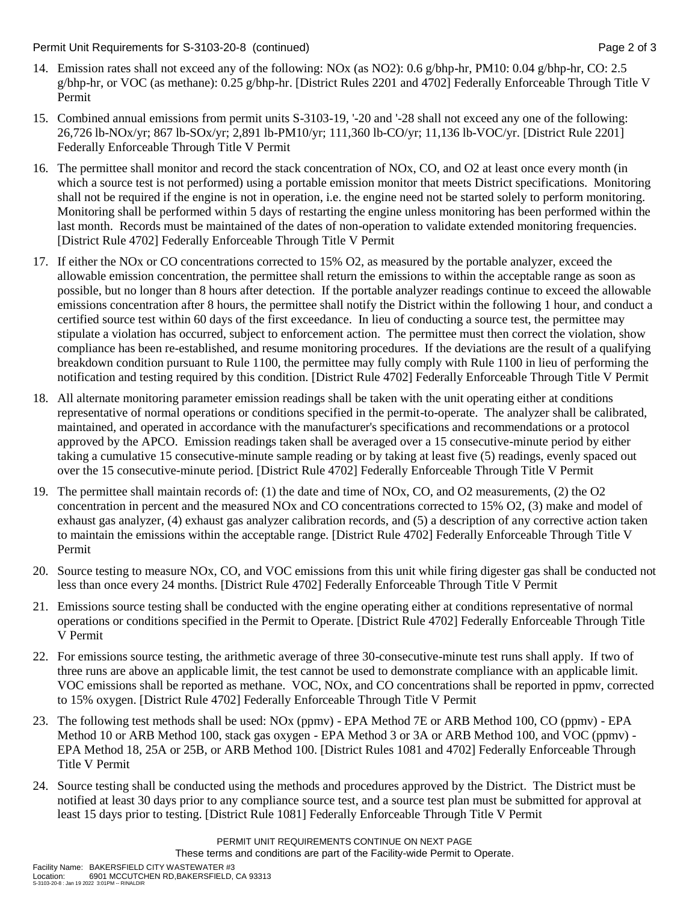Permit Unit Requirements for S-3103-20-8 (continued) **Page 2** of 3

- 14. Emission rates shall not exceed any of the following: NOx (as NO2): 0.6 g/bhp-hr, PM10: 0.04 g/bhp-hr, CO: 2.5 g/bhp-hr, or VOC (as methane): 0.25 g/bhp-hr. [District Rules 2201 and 4702] Federally Enforceable Through Title V Permit
- 15. Combined annual emissions from permit units S-3103-19, '-20 and '-28 shall not exceed any one of the following: 26,726 lb-NOx/yr; 867 lb-SOx/yr; 2,891 lb-PM10/yr; 111,360 lb-CO/yr; 11,136 lb-VOC/yr. [District Rule 2201] Federally Enforceable Through Title V Permit
- 16. The permittee shall monitor and record the stack concentration of NOx, CO, and O2 at least once every month (in which a source test is not performed) using a portable emission monitor that meets District specifications. Monitoring shall not be required if the engine is not in operation, i.e. the engine need not be started solely to perform monitoring. Monitoring shall be performed within 5 days of restarting the engine unless monitoring has been performed within the last month. Records must be maintained of the dates of non-operation to validate extended monitoring frequencies. [District Rule 4702] Federally Enforceable Through Title V Permit
- 17. If either the NOx or CO concentrations corrected to 15% O2, as measured by the portable analyzer, exceed the allowable emission concentration, the permittee shall return the emissions to within the acceptable range as soon as possible, but no longer than 8 hours after detection. If the portable analyzer readings continue to exceed the allowable emissions concentration after 8 hours, the permittee shall notify the District within the following 1 hour, and conduct a certified source test within 60 days of the first exceedance. In lieu of conducting a source test, the permittee may stipulate a violation has occurred, subject to enforcement action. The permittee must then correct the violation, show compliance has been re-established, and resume monitoring procedures. If the deviations are the result of a qualifying breakdown condition pursuant to Rule 1100, the permittee may fully comply with Rule 1100 in lieu of performing the notification and testing required by this condition. [District Rule 4702] Federally Enforceable Through Title V Permit
- 18. All alternate monitoring parameter emission readings shall be taken with the unit operating either at conditions representative of normal operations or conditions specified in the permit-to-operate. The analyzer shall be calibrated, maintained, and operated in accordance with the manufacturer's specifications and recommendations or a protocol approved by the APCO. Emission readings taken shall be averaged over a 15 consecutive-minute period by either taking a cumulative 15 consecutive-minute sample reading or by taking at least five (5) readings, evenly spaced out over the 15 consecutive-minute period. [District Rule 4702] Federally Enforceable Through Title V Permit
- 19. The permittee shall maintain records of: (1) the date and time of NOx, CO, and O2 measurements, (2) the O2 concentration in percent and the measured NOx and CO concentrations corrected to 15% O2, (3) make and model of exhaust gas analyzer, (4) exhaust gas analyzer calibration records, and (5) a description of any corrective action taken to maintain the emissions within the acceptable range. [District Rule 4702] Federally Enforceable Through Title V Permit
- 20. Source testing to measure NOx, CO, and VOC emissions from this unit while firing digester gas shall be conducted not less than once every 24 months. [District Rule 4702] Federally Enforceable Through Title V Permit
- 21. Emissions source testing shall be conducted with the engine operating either at conditions representative of normal operations or conditions specified in the Permit to Operate. [District Rule 4702] Federally Enforceable Through Title V Permit
- 22. For emissions source testing, the arithmetic average of three 30-consecutive-minute test runs shall apply. If two of three runs are above an applicable limit, the test cannot be used to demonstrate compliance with an applicable limit. VOC emissions shall be reported as methane. VOC, NOx, and CO concentrations shall be reported in ppmv, corrected to 15% oxygen. [District Rule 4702] Federally Enforceable Through Title V Permit
- 23. The following test methods shall be used: NOx (ppmv) EPA Method 7E or ARB Method 100, CO (ppmv) EPA Method 10 or ARB Method 100, stack gas oxygen - EPA Method 3 or 3A or ARB Method 100, and VOC (ppmv) - EPA Method 18, 25A or 25B, or ARB Method 100. [District Rules 1081 and 4702] Federally Enforceable Through Title V Permit
- 24. Source testing shall be conducted using the methods and procedures approved by the District. The District must be notified at least 30 days prior to any compliance source test, and a source test plan must be submitted for approval at least 15 days prior to testing. [District Rule 1081] Federally Enforceable Through Title V Permit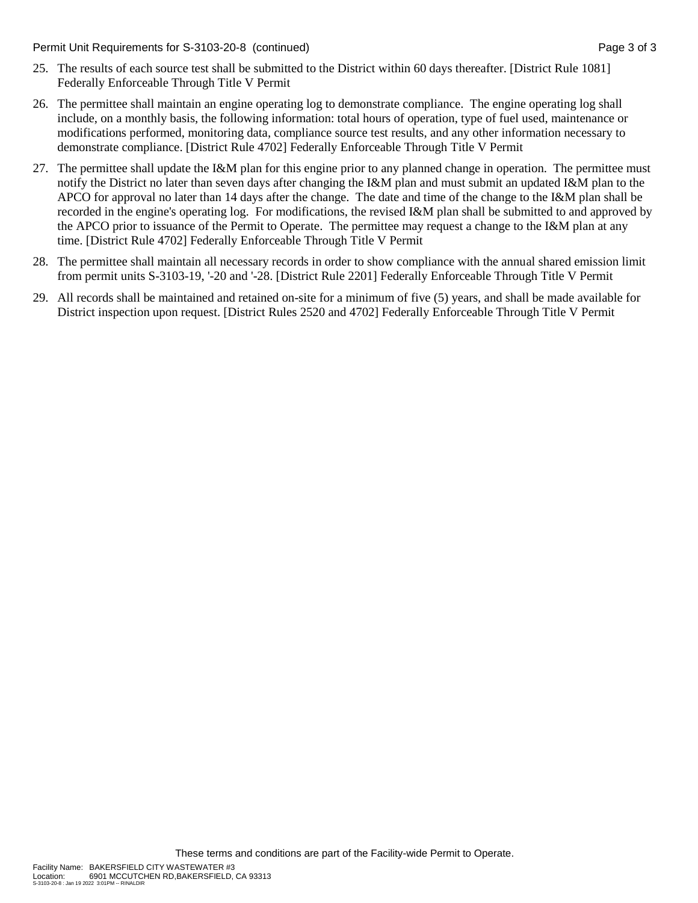Permit Unit Requirements for S-3103-20-8 (continued) **Page 3** of 3

- 25. The results of each source test shall be submitted to the District within 60 days thereafter. [District Rule 1081] Federally Enforceable Through Title V Permit
- 26. The permittee shall maintain an engine operating log to demonstrate compliance. The engine operating log shall include, on a monthly basis, the following information: total hours of operation, type of fuel used, maintenance or modifications performed, monitoring data, compliance source test results, and any other information necessary to demonstrate compliance. [District Rule 4702] Federally Enforceable Through Title V Permit
- 27. The permittee shall update the I&M plan for this engine prior to any planned change in operation. The permittee must notify the District no later than seven days after changing the I&M plan and must submit an updated I&M plan to the APCO for approval no later than 14 days after the change. The date and time of the change to the I&M plan shall be recorded in the engine's operating log. For modifications, the revised I&M plan shall be submitted to and approved by the APCO prior to issuance of the Permit to Operate. The permittee may request a change to the I&M plan at any time. [District Rule 4702] Federally Enforceable Through Title V Permit
- 28. The permittee shall maintain all necessary records in order to show compliance with the annual shared emission limit from permit units S-3103-19, '-20 and '-28. [District Rule 2201] Federally Enforceable Through Title V Permit
- 29. All records shall be maintained and retained on-site for a minimum of five (5) years, and shall be made available for District inspection upon request. [District Rules 2520 and 4702] Federally Enforceable Through Title V Permit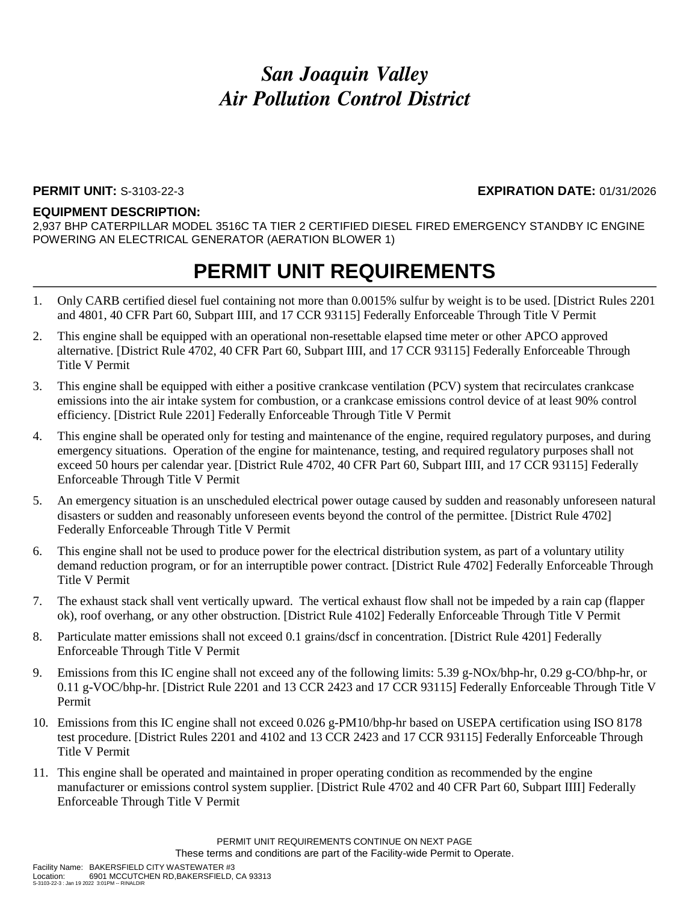#### **PERMIT UNIT:** S-3103-22-3 **EXPIRATION DATE:** 01/31/2026

#### **EQUIPMENT DESCRIPTION:**

2,937 BHP CATERPILLAR MODEL 3516C TA TIER 2 CERTIFIED DIESEL FIRED EMERGENCY STANDBY IC ENGINE POWERING AN ELECTRICAL GENERATOR (AERATION BLOWER 1)

- 1. Only CARB certified diesel fuel containing not more than 0.0015% sulfur by weight is to be used. [District Rules 2201 and 4801, 40 CFR Part 60, Subpart IIII, and 17 CCR 93115] Federally Enforceable Through Title V Permit
- 2. This engine shall be equipped with an operational non-resettable elapsed time meter or other APCO approved alternative. [District Rule 4702, 40 CFR Part 60, Subpart IIII, and 17 CCR 93115] Federally Enforceable Through Title V Permit
- 3. This engine shall be equipped with either a positive crankcase ventilation (PCV) system that recirculates crankcase emissions into the air intake system for combustion, or a crankcase emissions control device of at least 90% control efficiency. [District Rule 2201] Federally Enforceable Through Title V Permit
- 4. This engine shall be operated only for testing and maintenance of the engine, required regulatory purposes, and during emergency situations. Operation of the engine for maintenance, testing, and required regulatory purposes shall not exceed 50 hours per calendar year. [District Rule 4702, 40 CFR Part 60, Subpart IIII, and 17 CCR 93115] Federally Enforceable Through Title V Permit
- 5. An emergency situation is an unscheduled electrical power outage caused by sudden and reasonably unforeseen natural disasters or sudden and reasonably unforeseen events beyond the control of the permittee. [District Rule 4702] Federally Enforceable Through Title V Permit
- 6. This engine shall not be used to produce power for the electrical distribution system, as part of a voluntary utility demand reduction program, or for an interruptible power contract. [District Rule 4702] Federally Enforceable Through Title V Permit
- 7. The exhaust stack shall vent vertically upward. The vertical exhaust flow shall not be impeded by a rain cap (flapper ok), roof overhang, or any other obstruction. [District Rule 4102] Federally Enforceable Through Title V Permit
- 8. Particulate matter emissions shall not exceed 0.1 grains/dscf in concentration. [District Rule 4201] Federally Enforceable Through Title V Permit
- 9. Emissions from this IC engine shall not exceed any of the following limits: 5.39 g-NOx/bhp-hr, 0.29 g-CO/bhp-hr, or 0.11 g-VOC/bhp-hr. [District Rule 2201 and 13 CCR 2423 and 17 CCR 93115] Federally Enforceable Through Title V Permit
- 10. Emissions from this IC engine shall not exceed 0.026 g-PM10/bhp-hr based on USEPA certification using ISO 8178 test procedure. [District Rules 2201 and 4102 and 13 CCR 2423 and 17 CCR 93115] Federally Enforceable Through Title V Permit
- 11. This engine shall be operated and maintained in proper operating condition as recommended by the engine manufacturer or emissions control system supplier. [District Rule 4702 and 40 CFR Part 60, Subpart IIII] Federally Enforceable Through Title V Permit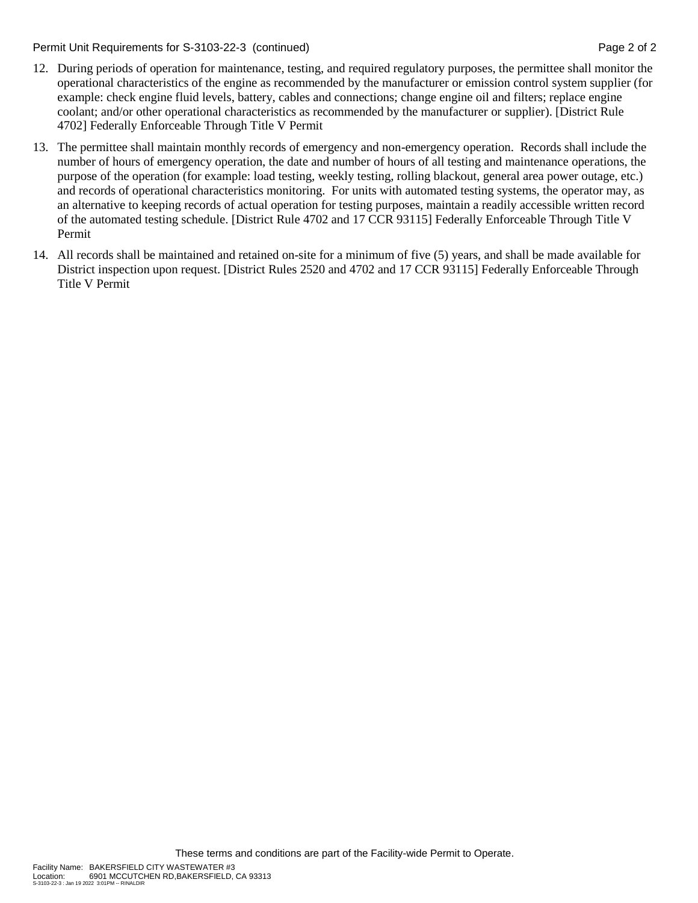Permit Unit Requirements for S-3103-22-3 (continued) **Page 2** of 2

- 12. During periods of operation for maintenance, testing, and required regulatory purposes, the permittee shall monitor the operational characteristics of the engine as recommended by the manufacturer or emission control system supplier (for example: check engine fluid levels, battery, cables and connections; change engine oil and filters; replace engine coolant; and/or other operational characteristics as recommended by the manufacturer or supplier). [District Rule 4702] Federally Enforceable Through Title V Permit
- 13. The permittee shall maintain monthly records of emergency and non-emergency operation. Records shall include the number of hours of emergency operation, the date and number of hours of all testing and maintenance operations, the purpose of the operation (for example: load testing, weekly testing, rolling blackout, general area power outage, etc.) and records of operational characteristics monitoring. For units with automated testing systems, the operator may, as an alternative to keeping records of actual operation for testing purposes, maintain a readily accessible written record of the automated testing schedule. [District Rule 4702 and 17 CCR 93115] Federally Enforceable Through Title V Permit
- 14. All records shall be maintained and retained on-site for a minimum of five (5) years, and shall be made available for District inspection upon request. [District Rules 2520 and 4702 and 17 CCR 93115] Federally Enforceable Through Title V Permit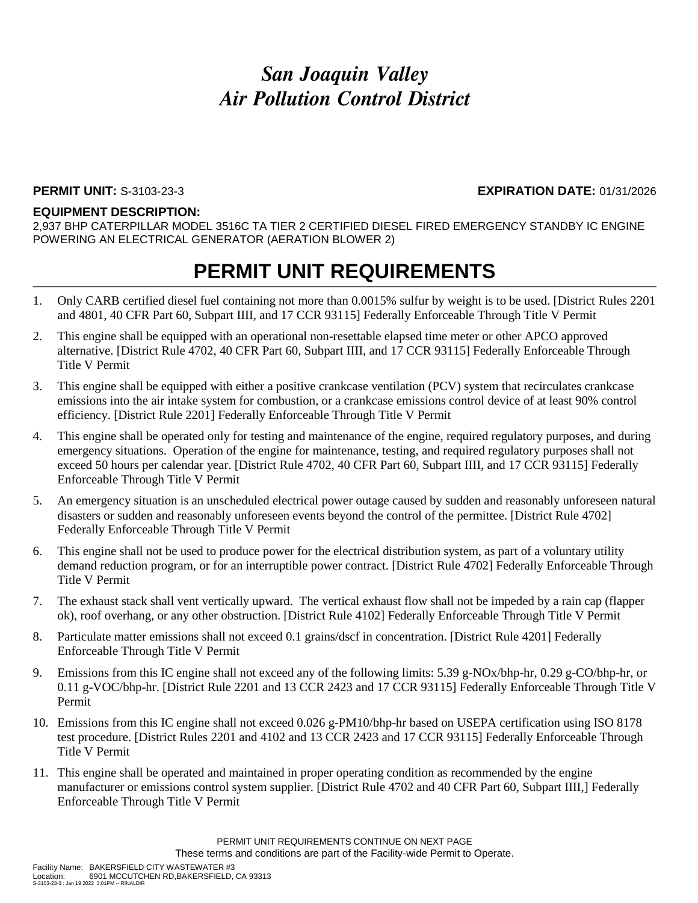### **PERMIT UNIT:** S-3103-23-3 **EXPIRATION DATE:** 01/31/2026

#### **EQUIPMENT DESCRIPTION:**

2,937 BHP CATERPILLAR MODEL 3516C TA TIER 2 CERTIFIED DIESEL FIRED EMERGENCY STANDBY IC ENGINE POWERING AN ELECTRICAL GENERATOR (AERATION BLOWER 2)

- 1. Only CARB certified diesel fuel containing not more than 0.0015% sulfur by weight is to be used. [District Rules 2201 and 4801, 40 CFR Part 60, Subpart IIII, and 17 CCR 93115] Federally Enforceable Through Title V Permit
- 2. This engine shall be equipped with an operational non-resettable elapsed time meter or other APCO approved alternative. [District Rule 4702, 40 CFR Part 60, Subpart IIII, and 17 CCR 93115] Federally Enforceable Through Title V Permit
- 3. This engine shall be equipped with either a positive crankcase ventilation (PCV) system that recirculates crankcase emissions into the air intake system for combustion, or a crankcase emissions control device of at least 90% control efficiency. [District Rule 2201] Federally Enforceable Through Title V Permit
- 4. This engine shall be operated only for testing and maintenance of the engine, required regulatory purposes, and during emergency situations. Operation of the engine for maintenance, testing, and required regulatory purposes shall not exceed 50 hours per calendar year. [District Rule 4702, 40 CFR Part 60, Subpart IIII, and 17 CCR 93115] Federally Enforceable Through Title V Permit
- 5. An emergency situation is an unscheduled electrical power outage caused by sudden and reasonably unforeseen natural disasters or sudden and reasonably unforeseen events beyond the control of the permittee. [District Rule 4702] Federally Enforceable Through Title V Permit
- 6. This engine shall not be used to produce power for the electrical distribution system, as part of a voluntary utility demand reduction program, or for an interruptible power contract. [District Rule 4702] Federally Enforceable Through Title V Permit
- 7. The exhaust stack shall vent vertically upward. The vertical exhaust flow shall not be impeded by a rain cap (flapper ok), roof overhang, or any other obstruction. [District Rule 4102] Federally Enforceable Through Title V Permit
- 8. Particulate matter emissions shall not exceed 0.1 grains/dscf in concentration. [District Rule 4201] Federally Enforceable Through Title V Permit
- 9. Emissions from this IC engine shall not exceed any of the following limits: 5.39 g-NOx/bhp-hr, 0.29 g-CO/bhp-hr, or 0.11 g-VOC/bhp-hr. [District Rule 2201 and 13 CCR 2423 and 17 CCR 93115] Federally Enforceable Through Title V Permit
- 10. Emissions from this IC engine shall not exceed 0.026 g-PM10/bhp-hr based on USEPA certification using ISO 8178 test procedure. [District Rules 2201 and 4102 and 13 CCR 2423 and 17 CCR 93115] Federally Enforceable Through Title V Permit
- 11. This engine shall be operated and maintained in proper operating condition as recommended by the engine manufacturer or emissions control system supplier. [District Rule 4702 and 40 CFR Part 60, Subpart IIII,] Federally Enforceable Through Title V Permit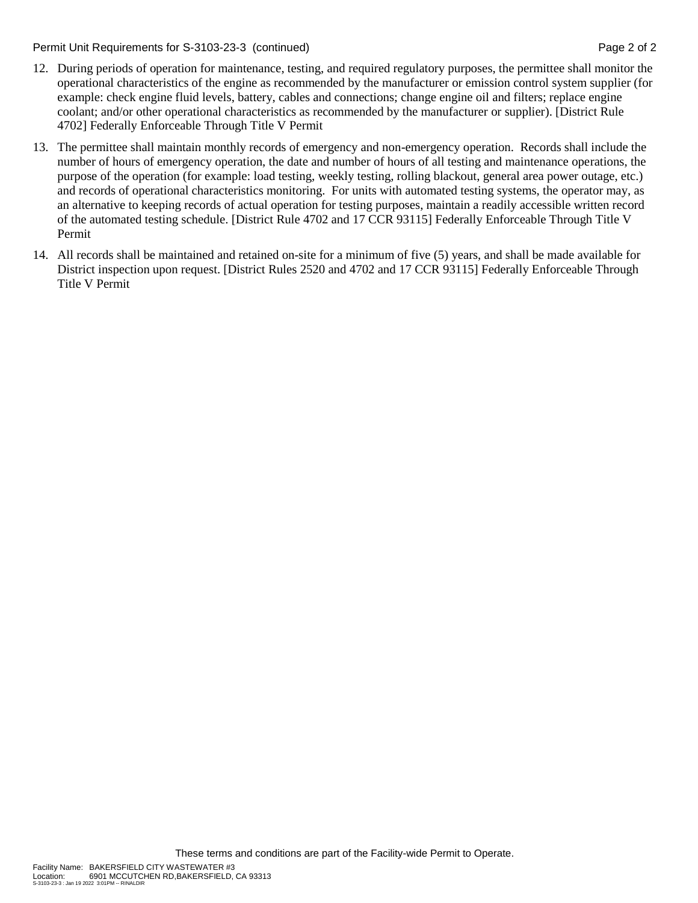Permit Unit Requirements for S-3103-23-3 (continued) **Page 2** of 2

- 12. During periods of operation for maintenance, testing, and required regulatory purposes, the permittee shall monitor the operational characteristics of the engine as recommended by the manufacturer or emission control system supplier (for example: check engine fluid levels, battery, cables and connections; change engine oil and filters; replace engine coolant; and/or other operational characteristics as recommended by the manufacturer or supplier). [District Rule 4702] Federally Enforceable Through Title V Permit
- 13. The permittee shall maintain monthly records of emergency and non-emergency operation. Records shall include the number of hours of emergency operation, the date and number of hours of all testing and maintenance operations, the purpose of the operation (for example: load testing, weekly testing, rolling blackout, general area power outage, etc.) and records of operational characteristics monitoring. For units with automated testing systems, the operator may, as an alternative to keeping records of actual operation for testing purposes, maintain a readily accessible written record of the automated testing schedule. [District Rule 4702 and 17 CCR 93115] Federally Enforceable Through Title V Permit
- 14. All records shall be maintained and retained on-site for a minimum of five (5) years, and shall be made available for District inspection upon request. [District Rules 2520 and 4702 and 17 CCR 93115] Federally Enforceable Through Title V Permit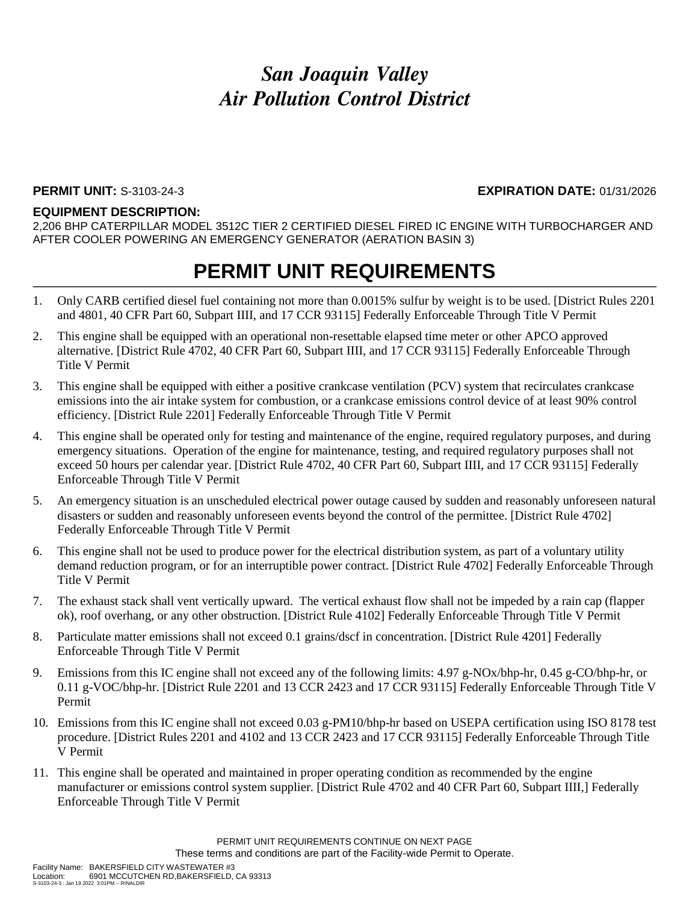### **PERMIT UNIT:** S-3103-24-3 **EXPIRATION DATE:** 01/31/2026

#### **EQUIPMENT DESCRIPTION:**

2,206 BHP CATERPILLAR MODEL 3512C TIER 2 CERTIFIED DIESEL FIRED IC ENGINE WITH TURBOCHARGER AND AFTER COOLER POWERING AN EMERGENCY GENERATOR (AERATION BASIN 3)

- 1. Only CARB certified diesel fuel containing not more than 0.0015% sulfur by weight is to be used. [District Rules 2201 and 4801, 40 CFR Part 60, Subpart IIII, and 17 CCR 93115] Federally Enforceable Through Title V Permit
- 2. This engine shall be equipped with an operational non-resettable elapsed time meter or other APCO approved alternative. [District Rule 4702, 40 CFR Part 60, Subpart IIII, and 17 CCR 93115] Federally Enforceable Through Title V Permit
- 3. This engine shall be equipped with either a positive crankcase ventilation (PCV) system that recirculates crankcase emissions into the air intake system for combustion, or a crankcase emissions control device of at least 90% control efficiency. [District Rule 2201] Federally Enforceable Through Title V Permit
- 4. This engine shall be operated only for testing and maintenance of the engine, required regulatory purposes, and during emergency situations. Operation of the engine for maintenance, testing, and required regulatory purposes shall not exceed 50 hours per calendar year. [District Rule 4702, 40 CFR Part 60, Subpart IIII, and 17 CCR 93115] Federally Enforceable Through Title V Permit
- 5. An emergency situation is an unscheduled electrical power outage caused by sudden and reasonably unforeseen natural disasters or sudden and reasonably unforeseen events beyond the control of the permittee. [District Rule 4702] Federally Enforceable Through Title V Permit
- 6. This engine shall not be used to produce power for the electrical distribution system, as part of a voluntary utility demand reduction program, or for an interruptible power contract. [District Rule 4702] Federally Enforceable Through Title V Permit
- 7. The exhaust stack shall vent vertically upward. The vertical exhaust flow shall not be impeded by a rain cap (flapper ok), roof overhang, or any other obstruction. [District Rule 4102] Federally Enforceable Through Title V Permit
- 8. Particulate matter emissions shall not exceed 0.1 grains/dscf in concentration. [District Rule 4201] Federally Enforceable Through Title V Permit
- 9. Emissions from this IC engine shall not exceed any of the following limits: 4.97 g-NOx/bhp-hr, 0.45 g-CO/bhp-hr, or 0.11 g-VOC/bhp-hr. [District Rule 2201 and 13 CCR 2423 and 17 CCR 93115] Federally Enforceable Through Title V Permit
- 10. Emissions from this IC engine shall not exceed 0.03 g-PM10/bhp-hr based on USEPA certification using ISO 8178 test procedure. [District Rules 2201 and 4102 and 13 CCR 2423 and 17 CCR 93115] Federally Enforceable Through Title V Permit
- 11. This engine shall be operated and maintained in proper operating condition as recommended by the engine manufacturer or emissions control system supplier. [District Rule 4702 and 40 CFR Part 60, Subpart IIII,] Federally Enforceable Through Title V Permit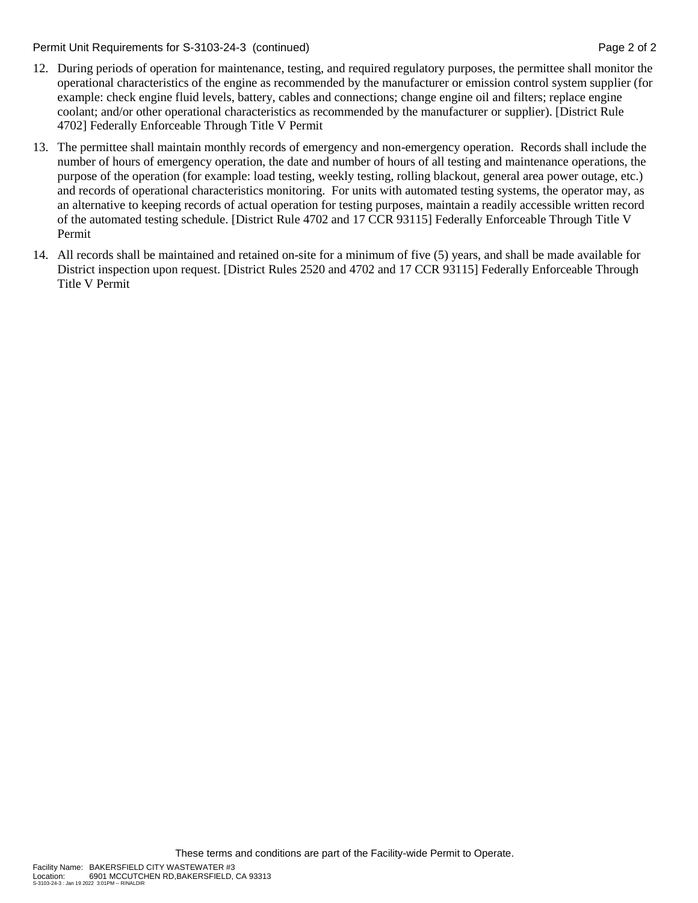Permit Unit Requirements for S-3103-24-3 (continued) **Page 2** of 2

- 12. During periods of operation for maintenance, testing, and required regulatory purposes, the permittee shall monitor the operational characteristics of the engine as recommended by the manufacturer or emission control system supplier (for example: check engine fluid levels, battery, cables and connections; change engine oil and filters; replace engine coolant; and/or other operational characteristics as recommended by the manufacturer or supplier). [District Rule 4702] Federally Enforceable Through Title V Permit
- 13. The permittee shall maintain monthly records of emergency and non-emergency operation. Records shall include the number of hours of emergency operation, the date and number of hours of all testing and maintenance operations, the purpose of the operation (for example: load testing, weekly testing, rolling blackout, general area power outage, etc.) and records of operational characteristics monitoring. For units with automated testing systems, the operator may, as an alternative to keeping records of actual operation for testing purposes, maintain a readily accessible written record of the automated testing schedule. [District Rule 4702 and 17 CCR 93115] Federally Enforceable Through Title V Permit
- 14. All records shall be maintained and retained on-site for a minimum of five (5) years, and shall be made available for District inspection upon request. [District Rules 2520 and 4702 and 17 CCR 93115] Federally Enforceable Through Title V Permit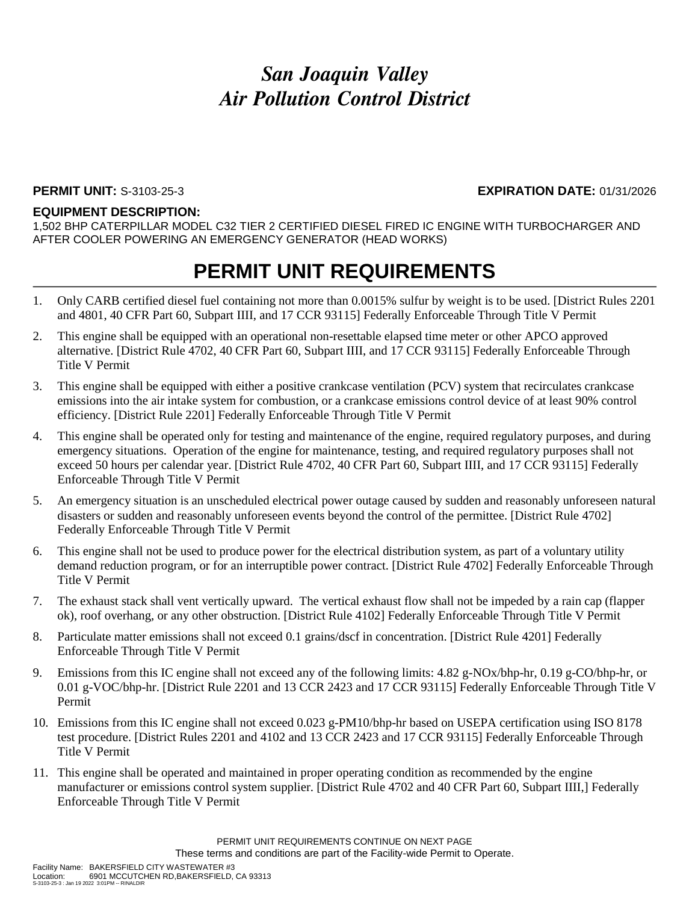#### **PERMIT UNIT:** S-3103-25-3 **EXPIRATION DATE:** 01/31/2026

#### **EQUIPMENT DESCRIPTION:**

1,502 BHP CATERPILLAR MODEL C32 TIER 2 CERTIFIED DIESEL FIRED IC ENGINE WITH TURBOCHARGER AND AFTER COOLER POWERING AN EMERGENCY GENERATOR (HEAD WORKS)

- 1. Only CARB certified diesel fuel containing not more than 0.0015% sulfur by weight is to be used. [District Rules 2201 and 4801, 40 CFR Part 60, Subpart IIII, and 17 CCR 93115] Federally Enforceable Through Title V Permit
- 2. This engine shall be equipped with an operational non-resettable elapsed time meter or other APCO approved alternative. [District Rule 4702, 40 CFR Part 60, Subpart IIII, and 17 CCR 93115] Federally Enforceable Through Title V Permit
- 3. This engine shall be equipped with either a positive crankcase ventilation (PCV) system that recirculates crankcase emissions into the air intake system for combustion, or a crankcase emissions control device of at least 90% control efficiency. [District Rule 2201] Federally Enforceable Through Title V Permit
- 4. This engine shall be operated only for testing and maintenance of the engine, required regulatory purposes, and during emergency situations. Operation of the engine for maintenance, testing, and required regulatory purposes shall not exceed 50 hours per calendar year. [District Rule 4702, 40 CFR Part 60, Subpart IIII, and 17 CCR 93115] Federally Enforceable Through Title V Permit
- 5. An emergency situation is an unscheduled electrical power outage caused by sudden and reasonably unforeseen natural disasters or sudden and reasonably unforeseen events beyond the control of the permittee. [District Rule 4702] Federally Enforceable Through Title V Permit
- 6. This engine shall not be used to produce power for the electrical distribution system, as part of a voluntary utility demand reduction program, or for an interruptible power contract. [District Rule 4702] Federally Enforceable Through Title V Permit
- 7. The exhaust stack shall vent vertically upward. The vertical exhaust flow shall not be impeded by a rain cap (flapper ok), roof overhang, or any other obstruction. [District Rule 4102] Federally Enforceable Through Title V Permit
- 8. Particulate matter emissions shall not exceed 0.1 grains/dscf in concentration. [District Rule 4201] Federally Enforceable Through Title V Permit
- 9. Emissions from this IC engine shall not exceed any of the following limits: 4.82 g-NOx/bhp-hr, 0.19 g-CO/bhp-hr, or 0.01 g-VOC/bhp-hr. [District Rule 2201 and 13 CCR 2423 and 17 CCR 93115] Federally Enforceable Through Title V Permit
- 10. Emissions from this IC engine shall not exceed 0.023 g-PM10/bhp-hr based on USEPA certification using ISO 8178 test procedure. [District Rules 2201 and 4102 and 13 CCR 2423 and 17 CCR 93115] Federally Enforceable Through Title V Permit
- 11. This engine shall be operated and maintained in proper operating condition as recommended by the engine manufacturer or emissions control system supplier. [District Rule 4702 and 40 CFR Part 60, Subpart IIII,] Federally Enforceable Through Title V Permit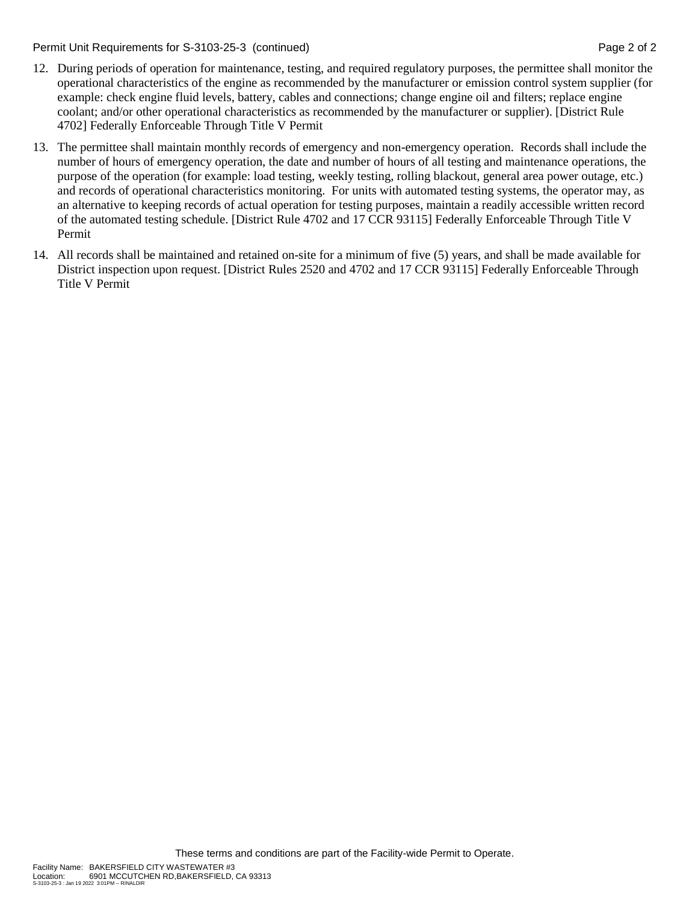Permit Unit Requirements for S-3103-25-3 (continued) **Page 2** of 2

- 12. During periods of operation for maintenance, testing, and required regulatory purposes, the permittee shall monitor the operational characteristics of the engine as recommended by the manufacturer or emission control system supplier (for example: check engine fluid levels, battery, cables and connections; change engine oil and filters; replace engine coolant; and/or other operational characteristics as recommended by the manufacturer or supplier). [District Rule 4702] Federally Enforceable Through Title V Permit
- 13. The permittee shall maintain monthly records of emergency and non-emergency operation. Records shall include the number of hours of emergency operation, the date and number of hours of all testing and maintenance operations, the purpose of the operation (for example: load testing, weekly testing, rolling blackout, general area power outage, etc.) and records of operational characteristics monitoring. For units with automated testing systems, the operator may, as an alternative to keeping records of actual operation for testing purposes, maintain a readily accessible written record of the automated testing schedule. [District Rule 4702 and 17 CCR 93115] Federally Enforceable Through Title V Permit
- 14. All records shall be maintained and retained on-site for a minimum of five (5) years, and shall be made available for District inspection upon request. [District Rules 2520 and 4702 and 17 CCR 93115] Federally Enforceable Through Title V Permit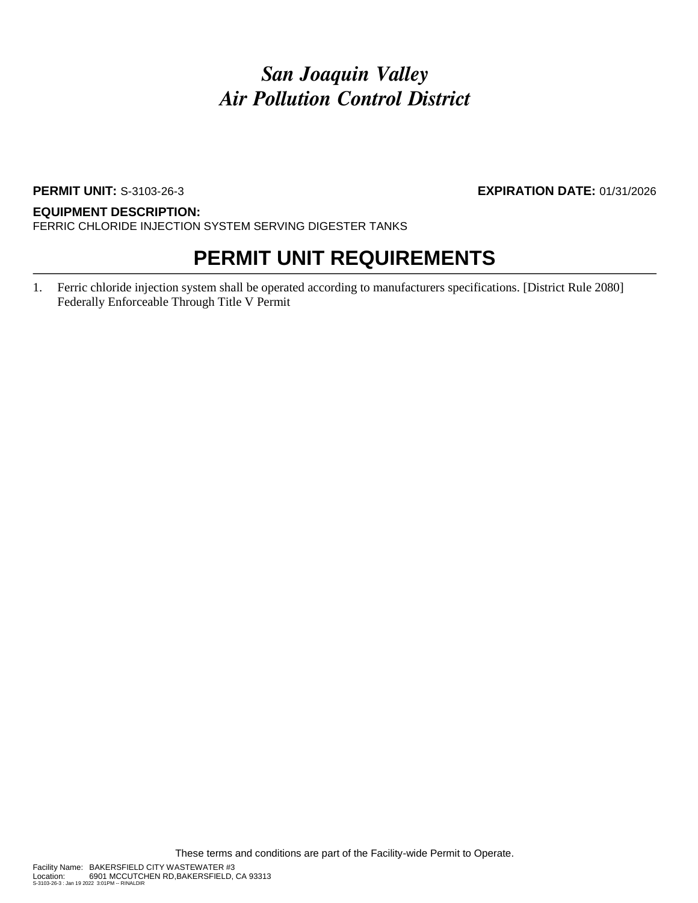### **PERMIT UNIT:** S-3103-26-3 **EXPIRATION DATE:** 01/31/2026

#### **EQUIPMENT DESCRIPTION:**

FERRIC CHLORIDE INJECTION SYSTEM SERVING DIGESTER TANKS

### **PERMIT UNIT REQUIREMENTS**

1. Ferric chloride injection system shall be operated according to manufacturers specifications. [District Rule 2080] Federally Enforceable Through Title V Permit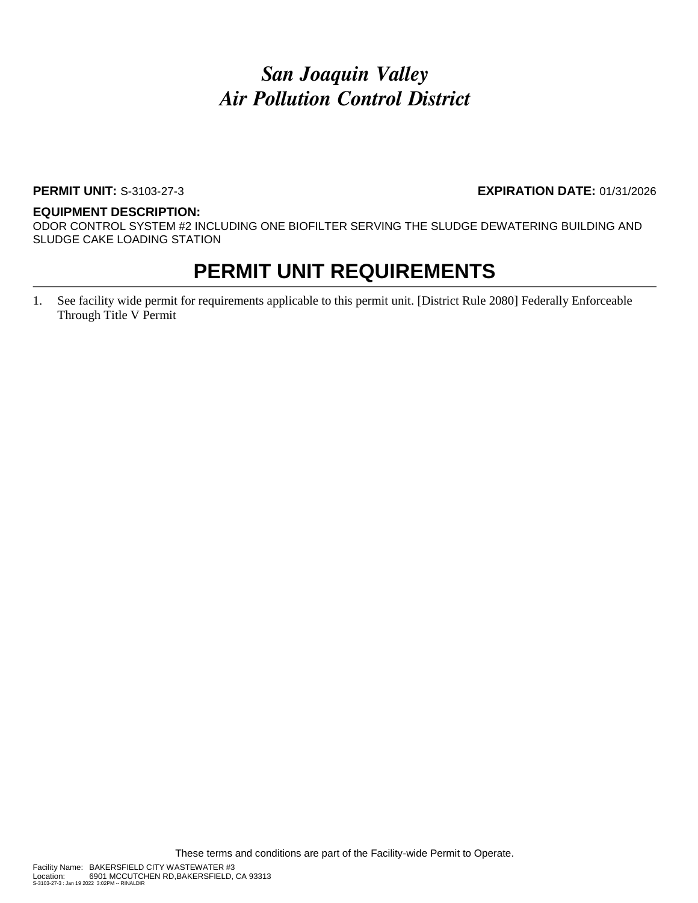### **PERMIT UNIT:** S-3103-27-3 **EXPIRATION DATE:** 01/31/2026

#### **EQUIPMENT DESCRIPTION:**

ODOR CONTROL SYSTEM #2 INCLUDING ONE BIOFILTER SERVING THE SLUDGE DEWATERING BUILDING AND SLUDGE CAKE LOADING STATION

### **PERMIT UNIT REQUIREMENTS**

1. See facility wide permit for requirements applicable to this permit unit. [District Rule 2080] Federally Enforceable Through Title V Permit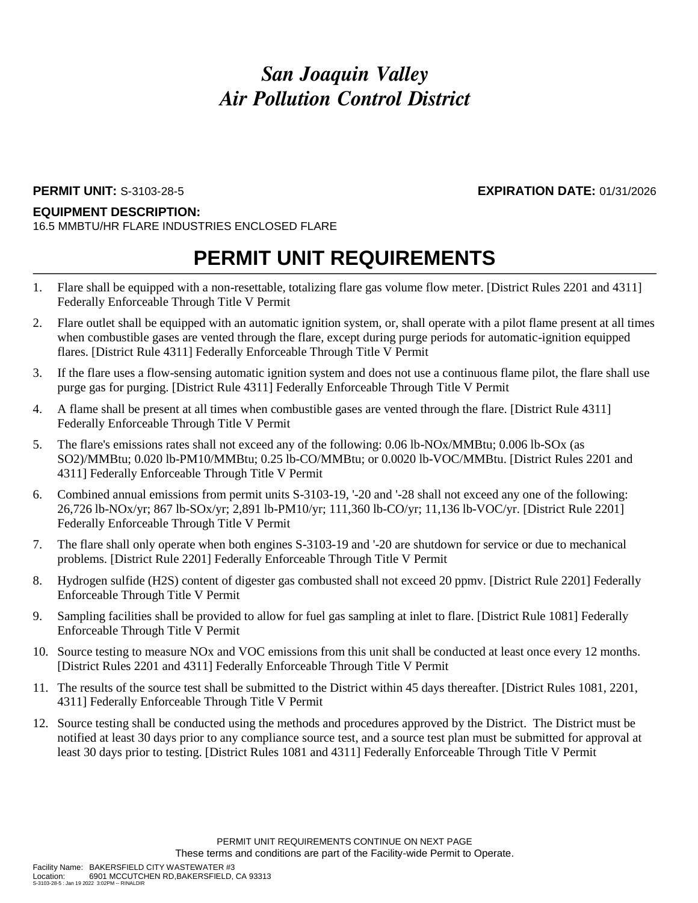S-3103-28-5 : Jan 19 2022 3:02PM -- RINALDIR

### **PERMIT UNIT:** S-3103-28-5 **EXPIRATION DATE:** 01/31/2026

#### **EQUIPMENT DESCRIPTION:**

16.5 MMBTU/HR FLARE INDUSTRIES ENCLOSED FLARE

- 1. Flare shall be equipped with a non-resettable, totalizing flare gas volume flow meter. [District Rules 2201 and 4311] Federally Enforceable Through Title V Permit
- 2. Flare outlet shall be equipped with an automatic ignition system, or, shall operate with a pilot flame present at all times when combustible gases are vented through the flare, except during purge periods for automatic-ignition equipped flares. [District Rule 4311] Federally Enforceable Through Title V Permit
- 3. If the flare uses a flow-sensing automatic ignition system and does not use a continuous flame pilot, the flare shall use purge gas for purging. [District Rule 4311] Federally Enforceable Through Title V Permit
- 4. A flame shall be present at all times when combustible gases are vented through the flare. [District Rule 4311] Federally Enforceable Through Title V Permit
- 5. The flare's emissions rates shall not exceed any of the following: 0.06 lb-NOx/MMBtu; 0.006 lb-SOx (as SO2)/MMBtu; 0.020 lb-PM10/MMBtu; 0.25 lb-CO/MMBtu; or 0.0020 lb-VOC/MMBtu. [District Rules 2201 and 4311] Federally Enforceable Through Title V Permit
- 6. Combined annual emissions from permit units S-3103-19, '-20 and '-28 shall not exceed any one of the following: 26,726 lb-NOx/yr; 867 lb-SOx/yr; 2,891 lb-PM10/yr; 111,360 lb-CO/yr; 11,136 lb-VOC/yr. [District Rule 2201] Federally Enforceable Through Title V Permit
- 7. The flare shall only operate when both engines S-3103-19 and '-20 are shutdown for service or due to mechanical problems. [District Rule 2201] Federally Enforceable Through Title V Permit
- 8. Hydrogen sulfide (H2S) content of digester gas combusted shall not exceed 20 ppmv. [District Rule 2201] Federally Enforceable Through Title V Permit
- 9. Sampling facilities shall be provided to allow for fuel gas sampling at inlet to flare. [District Rule 1081] Federally Enforceable Through Title V Permit
- 10. Source testing to measure NOx and VOC emissions from this unit shall be conducted at least once every 12 months. [District Rules 2201 and 4311] Federally Enforceable Through Title V Permit
- 11. The results of the source test shall be submitted to the District within 45 days thereafter. [District Rules 1081, 2201, 4311] Federally Enforceable Through Title V Permit
- 12. Source testing shall be conducted using the methods and procedures approved by the District. The District must be notified at least 30 days prior to any compliance source test, and a source test plan must be submitted for approval at least 30 days prior to testing. [District Rules 1081 and 4311] Federally Enforceable Through Title V Permit